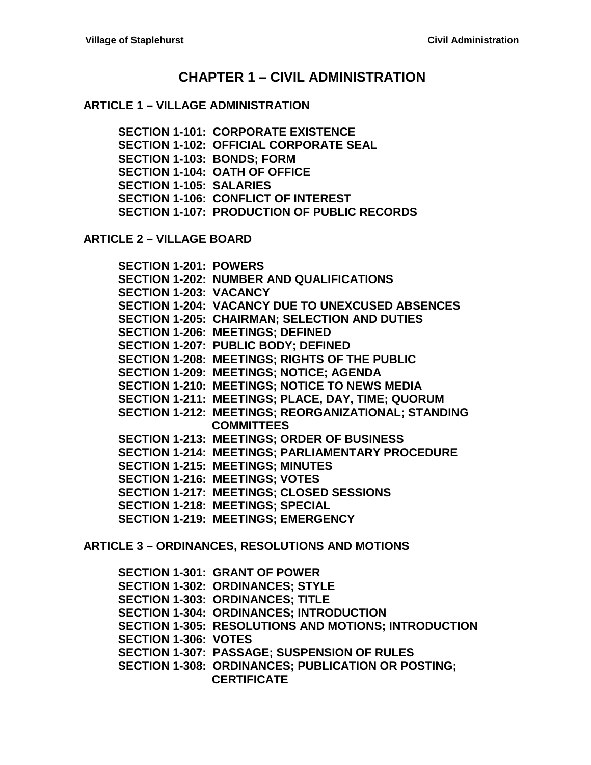### **CHAPTER 1 – [CIVIL ADMINISTRATION](#page-4-0)**

#### **ARTICLE 1 – [VILLAGE ADMINISTRATION](#page-4-1)**

**[SECTION 1-101: CORPORATE EXISTENCE](#page-4-2) [SECTION 1-102: OFFICIAL CORPORATE SEAL](#page-4-3) [SECTION 1-103: BONDS; FORM](#page-4-4) [SECTION 1-104: OATH OF OFFICE](#page-5-0) [SECTION 1-105: SALARIES](#page-5-1) [SECTION 1-106: CONFLICT OF INTEREST](#page-6-0) [SECTION 1-107: PRODUCTION OF PUBLIC RECORDS](#page-8-0)**

**ARTICLE 2 – [VILLAGE BOARD](#page-12-0)**

**[SECTION 1-201: POWERS](#page-12-1) [SECTION 1-202: NUMBER AND QUALIFICATIONS](#page-12-2) [SECTION 1-203: VACANCY](#page-12-3) [SECTION 1-204: VACANCY DUE TO](#page-13-0) UNEXCUSED ABSENCES [SECTION 1-205: CHAIRMAN; SELECTION AND DUTIES](#page-13-1) [SECTION 1-206: MEETINGS; DEFINED](#page-14-0) [SECTION 1-207: PUBLIC BODY; DEFINED](#page-14-1) [SECTION 1-208: MEETINGS; RIGHTS OF THE PUBLIC](#page-14-2) [SECTION 1-209: MEETINGS; NOTICE; AGENDA](#page-15-0) [SECTION 1-210: MEETINGS; NOTICE TO NEWS MEDIA](#page-15-1) [SECTION 1-211: MEETINGS; PLACE, DAY, TIME; QUORUM](#page-15-2) [SECTION 1-212: MEETINGS; REORGANIZATIONAL; STANDING](#page-16-0)  [COMMITTEES](#page-16-0) [SECTION 1-213: MEETINGS; ORDER OF BUSINESS](#page-16-1) [SECTION 1-214: MEETINGS; PARLIAMENTARY PROCEDURE](#page-16-2) [SECTION 1-215: MEETINGS; MINUTES](#page-17-0) [SECTION 1-216: MEETINGS; VOTES](#page-17-1) [SECTION 1-217: MEETINGS; CLOSED SESSIONS](#page-17-2) [SECTION 1-218: MEETINGS; SPECIAL](#page-19-0) [SECTION 1-219: MEETINGS; EMERGENCY](#page-19-1)**

**ARTICLE 3 – [ORDINANCES, RESOLUTIONS AND MOTIONS](#page-20-0)**

**[SECTION 1-301: GRANT OF POWER](#page-20-1) [SECTION 1-302: ORDINANCES; STYLE](#page-20-2) [SECTION 1-303: ORDINANCES; TITLE](#page-20-3) [SECTION 1-304: ORDINANCES; INTRODUCTION](#page-20-4) [SECTION 1-305: RESOLUTIONS AND MOTIONS; INTRODUCTION](#page-20-5) [SECTION 1-306: VOTES](#page-21-0) [SECTION 1-307: PASSAGE; SUSPENSION OF RULES](#page-21-1) [SECTION 1-308: ORDINANCES; PUBLICATION OR](#page-21-2) POSTING; [CERTIFICATE](#page-21-2)**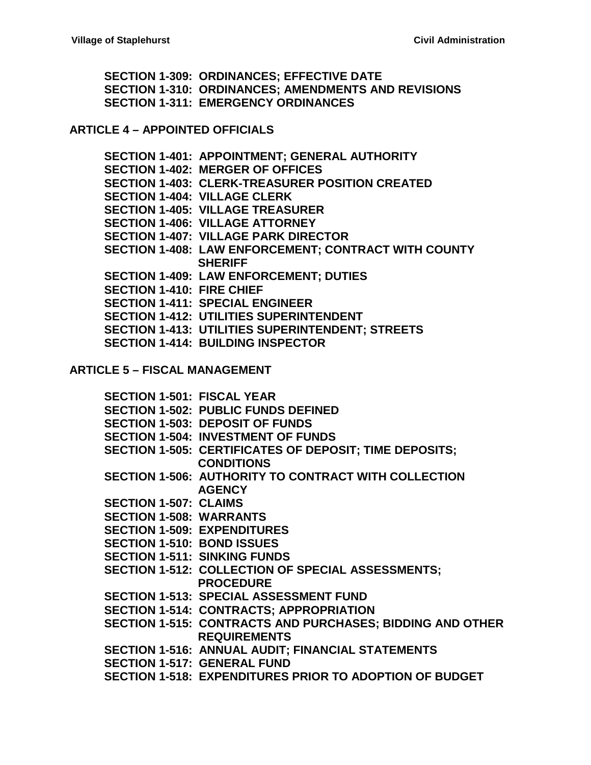**[SECTION 1-309: ORDINANCES; EFFECTIVE DATE](#page-22-0) [SECTION 1-310: ORDINANCES; AMENDMENTS AND REVISIONS](#page-22-1) [SECTION 1-311: EMERGENCY ORDINANCES](#page-22-2)**

**ARTICLE 4 – [APPOINTED OFFICIALS](#page-24-0)**

**[SECTION 1-401: APPOINTMENT; GENERAL AUTHORITY](#page-24-1) [SECTION 1-402: MERGER OF OFFICES](#page-24-2) [SECTION 1-403: CLERK-TREASURER POSITION CREATED](#page-24-3) [SECTION 1-404: VILLAGE CLERK](#page-24-4) [SECTION 1-405: VILLAGE TREASURER](#page-26-0) [SECTION 1-406: VILLAGE ATTORNEY](#page-28-0) [SECTION 1-407: VILLAGE PARK DIRECTOR](#page-28-1) [SECTION 1-408: LAW ENFORCEMENT; CONTRACT WITH COUNTY](#page-28-2)  [SHERIFF](#page-28-2) [SECTION 1-409: LAW ENFORCEMENT; DUTIES](#page-28-3) [SECTION 1-410: FIRE CHIEF](#page-29-0) [SECTION 1-411: SPECIAL ENGINEER](#page-29-1) [SECTION 1-412: UTILITIES SUPERINTENDENT](#page-29-2) [SECTION 1-413: UTILITIES SUPERINTENDENT; STREETS](#page-30-0) [SECTION 1-414: BUILDING INSPECTOR](#page-31-0)**

**ARTICLE 5 – [FISCAL MANAGEMENT](#page-32-0)**

**[SECTION 1-501: FISCAL YEAR](#page-32-1) [SECTION 1-502: PUBLIC FUNDS DEFINED](#page-32-2) [SECTION 1-503: DEPOSIT OF FUNDS](#page-32-3) [SECTION 1-504: INVESTMENT OF FUNDS](#page-33-0) [SECTION 1-505: CERTIFICATES OF DEPOSIT; TIME DEPOSITS;](#page-33-1)  [CONDITIONS](#page-33-1) [SECTION 1-506: AUTHORITY TO CONTRACT WITH COLLECTION](#page-33-2)  [AGENCY](#page-33-2) [SECTION 1-507: CLAIMS](#page-34-0) [SECTION 1-508: WARRANTS](#page-34-1) [SECTION 1-509: EXPENDITURES](#page-34-2) [SECTION 1-510: BOND ISSUES](#page-34-3) [SECTION 1-511: SINKING FUNDS](#page-35-0) [SECTION 1-512: COLLECTION OF SPECIAL ASSESSMENTS;](#page-35-1) [PROCEDURE](#page-35-1) [SECTION 1-513: SPECIAL ASSESSMENT FUND](#page-36-0) [SECTION 1-514: CONTRACTS; APPROPRIATION](#page-36-1) [SECTION 1-515: CONTRACTS AND PURCHASES; BIDDING AND OTHER](#page-36-2)  [REQUIREMENTS](#page-36-2) [SECTION 1-516: ANNUAL AUDIT; FINANCIAL STATEMENTS](#page-37-0) [SECTION 1-517: GENERAL FUND](#page-38-0) [SECTION 1-518: EXPENDITURES PRIOR TO ADOPTION OF BUDGET](#page-38-1)**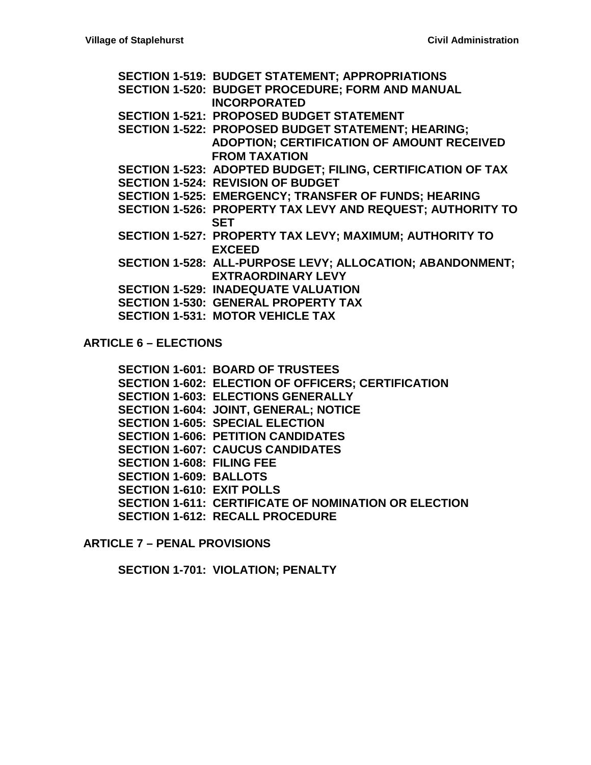**[SECTION 1-519: BUDGET STATEMENT; APPROPRIATIONS](#page-39-0) [SECTION 1-520: BUDGET PROCEDURE; FORM AND MANUAL](#page-39-1)  [INCORPORATED](#page-39-1) [SECTION 1-521: PROPOSED BUDGET STATEMENT](#page-39-2) [SECTION 1-522: PROPOSED BUDGET STATEMENT; HEARING;](#page-40-0)  [ADOPTION; CERTIFICATION OF AMOUNT RECEIVED](#page-40-0)  [FROM TAXATION](#page-40-0) [SECTION 1-523: ADOPTED BUDGET; FILING, CERTIFICATION OF TAX](#page-41-0) [SECTION 1-524: REVISION OF BUDGET](#page-42-0) [SECTION 1-525: EMERGENCY; TRANSFER OF FUNDS; HEARING](#page-43-0) [SECTION 1-526: PROPERTY TAX LEVY AND REQUEST; AUTHORITY TO](#page-44-0)  [SET](#page-44-0) [SECTION 1-527: PROPERTY TAX LEVY; MAXIMUM; AUTHORITY TO](#page-44-1)  [EXCEED](#page-44-1) [SECTION 1-528: ALL-PURPOSE LEVY; ALLOCATION; ABANDONMENT;](#page-47-0)  [EXTRAORDINARY LEVY](#page-47-0) [SECTION 1-529: INADEQUATE VALUATION](#page-48-0) [SECTION 1-530: GENERAL PROPERTY TAX](#page-48-1) [SECTION 1-531: MOTOR VEHICLE TAX](#page-48-2)**

**[ARTICLE 6 –](#page-50-0) ELECTIONS**

**[SECTION 1-601: BOARD OF TRUSTEES](#page-50-1) [SECTION 1-602: ELECTION OF OFFICERS; CERTIFICATION](#page-50-2) [SECTION 1-603: ELECTIONS GENERALLY](#page-50-3) [SECTION 1-604: JOINT, GENERAL; NOTICE](#page-50-4) [SECTION 1-605: SPECIAL ELECTION](#page-50-5) [SECTION 1-606: PETITION CANDIDATES](#page-51-0) [SECTION 1-607: CAUCUS CANDIDATES](#page-52-0) [SECTION 1-608: FILING FEE](#page-52-1) [SECTION 1-609: BALLOTS](#page-53-0) [SECTION 1-610: EXIT POLLS](#page-53-1) [SECTION 1-611: CERTIFICATE OF](#page-54-0) NOMINATION OR ELECTION [SECTION 1-612: RECALL PROCEDURE](#page-54-1)**

**ARTICLE 7 – [PENAL PROVISIONS](#page-58-0)**

**[SECTION 1-701: VIOLATION; PENALTY](#page-58-1)**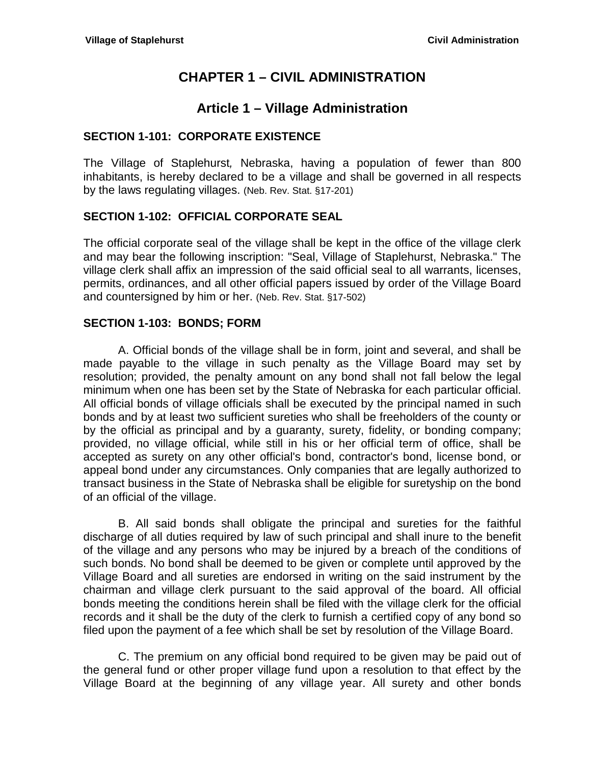# **CHAPTER 1 – CIVIL ADMINISTRATION**

# **Article 1 – Village Administration**

### <span id="page-4-2"></span><span id="page-4-1"></span><span id="page-4-0"></span>**SECTION 1-101: CORPORATE EXISTENCE**

The Village of Staplehurst*,* Nebraska, having a population of fewer than 800 inhabitants, is hereby declared to be a village and shall be governed in all respects by the laws regulating villages. (Neb. Rev. Stat. §17-201)

### <span id="page-4-3"></span>**SECTION 1-102: OFFICIAL CORPORATE SEAL**

The official corporate seal of the village shall be kept in the office of the village clerk and may bear the following inscription: "Seal, Village of Staplehurst, Nebraska." The village clerk shall affix an impression of the said official seal to all warrants, licenses, permits, ordinances, and all other official papers issued by order of the Village Board and countersigned by him or her. (Neb. Rev. Stat. §17-502)

#### <span id="page-4-4"></span>**SECTION 1-103: BONDS; FORM**

A. Official bonds of the village shall be in form, joint and several, and shall be made payable to the village in such penalty as the Village Board may set by resolution; provided, the penalty amount on any bond shall not fall below the legal minimum when one has been set by the State of Nebraska for each particular official. All official bonds of village officials shall be executed by the principal named in such bonds and by at least two sufficient sureties who shall be freeholders of the county or by the official as principal and by a guaranty, surety, fidelity, or bonding company; provided, no village official, while still in his or her official term of office, shall be accepted as surety on any other official's bond, contractor's bond, license bond, or appeal bond under any circumstances. Only companies that are legally authorized to transact business in the State of Nebraska shall be eligible for suretyship on the bond of an official of the village.

B. All said bonds shall obligate the principal and sureties for the faithful discharge of all duties required by law of such principal and shall inure to the benefit of the village and any persons who may be injured by a breach of the conditions of such bonds. No bond shall be deemed to be given or complete until approved by the Village Board and all sureties are endorsed in writing on the said instrument by the chairman and village clerk pursuant to the said approval of the board. All official bonds meeting the conditions herein shall be filed with the village clerk for the official records and it shall be the duty of the clerk to furnish a certified copy of any bond so filed upon the payment of a fee which shall be set by resolution of the Village Board.

C. The premium on any official bond required to be given may be paid out of the general fund or other proper village fund upon a resolution to that effect by the Village Board at the beginning of any village year. All surety and other bonds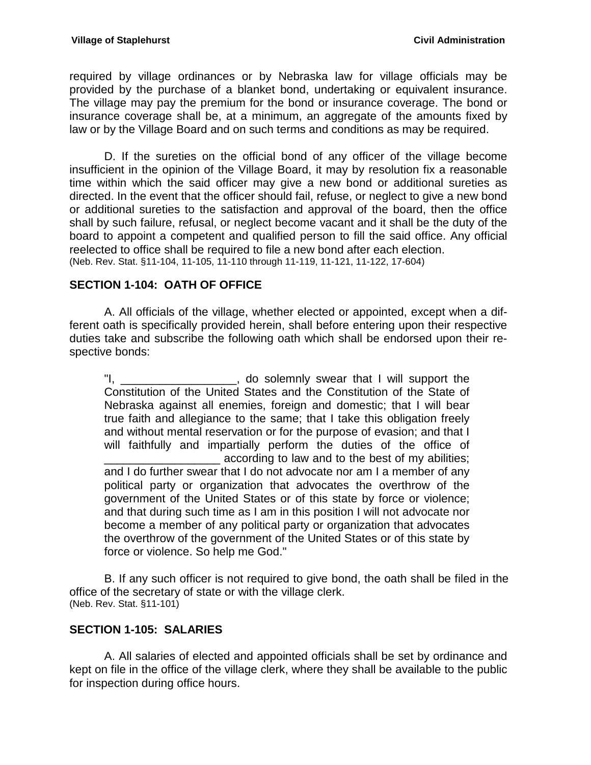required by village ordinances or by Nebraska law for village officials may be provided by the purchase of a blanket bond, undertaking or equivalent insurance. The village may pay the premium for the bond or insurance coverage. The bond or insurance coverage shall be, at a minimum, an aggregate of the amounts fixed by law or by the Village Board and on such terms and conditions as may be required.

D. If the sureties on the official bond of any officer of the village become insufficient in the opinion of the Village Board, it may by resolution fix a reasonable time within which the said officer may give a new bond or additional sureties as directed. In the event that the officer should fail, refuse, or neglect to give a new bond or additional sureties to the satisfaction and approval of the board, then the office shall by such failure, refusal, or neglect become vacant and it shall be the duty of the board to appoint a competent and qualified person to fill the said office. Any official reelected to office shall be required to file a new bond after each election. (Neb. Rev. Stat. §11-104, 11-105, 11-110 through 11-119, 11-121, 11-122, 17-604)

### <span id="page-5-0"></span>**SECTION 1-104: OATH OF OFFICE**

A. All officials of the village, whether elected or appointed, except when a different oath is specifically provided herein, shall before entering upon their respective duties take and subscribe the following oath which shall be endorsed upon their respective bonds:

"I, \_\_\_\_\_\_\_\_\_\_\_\_\_\_\_\_\_\_\_, do solemnly swear that I will support the Constitution of the United States and the Constitution of the State of Nebraska against all enemies, foreign and domestic; that I will bear true faith and allegiance to the same; that I take this obligation freely and without mental reservation or for the purpose of evasion; and that I will faithfully and impartially perform the duties of the office of according to law and to the best of my abilities; and I do further swear that I do not advocate nor am I a member of any political party or organization that advocates the overthrow of the government of the United States or of this state by force or violence; and that during such time as I am in this position I will not advocate nor become a member of any political party or organization that advocates the overthrow of the government of the United States or of this state by force or violence. So help me God."

B. If any such officer is not required to give bond, the oath shall be filed in the office of the secretary of state or with the village clerk. (Neb. Rev. Stat. §11-101)

### <span id="page-5-1"></span>**SECTION 1-105: SALARIES**

A. All salaries of elected and appointed officials shall be set by ordinance and kept on file in the office of the village clerk, where they shall be available to the public for inspection during office hours.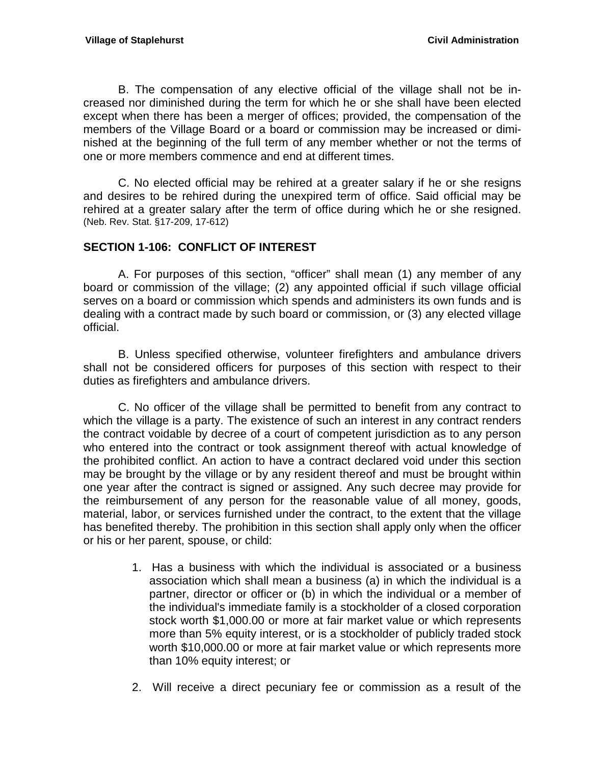B. The compensation of any elective official of the village shall not be increased nor diminished during the term for which he or she shall have been elected except when there has been a merger of offices; provided, the compensation of the members of the Village Board or a board or commission may be increased or diminished at the beginning of the full term of any member whether or not the terms of one or more members commence and end at different times.

C. No elected official may be rehired at a greater salary if he or she resigns and desires to be rehired during the unexpired term of office. Said official may be rehired at a greater salary after the term of office during which he or she resigned. (Neb. Rev. Stat. §17-209, 17-612)

### <span id="page-6-0"></span>**SECTION 1-106: CONFLICT OF INTEREST**

A. For purposes of this section, "officer" shall mean (1) any member of any board or commission of the village; (2) any appointed official if such village official serves on a board or commission which spends and administers its own funds and is dealing with a contract made by such board or commission, or (3) any elected village official.

B. Unless specified otherwise, volunteer firefighters and ambulance drivers shall not be considered officers for purposes of this section with respect to their duties as firefighters and ambulance drivers.

C. No officer of the village shall be permitted to benefit from any contract to which the village is a party. The existence of such an interest in any contract renders the contract voidable by decree of a court of competent jurisdiction as to any person who entered into the contract or took assignment thereof with actual knowledge of the prohibited conflict. An action to have a contract declared void under this section may be brought by the village or by any resident thereof and must be brought within one year after the contract is signed or assigned. Any such decree may provide for the reimbursement of any person for the reasonable value of all money, goods, material, labor, or services furnished under the contract, to the extent that the village has benefited thereby. The prohibition in this section shall apply only when the officer or his or her parent, spouse, or child:

- 1. Has a business with which the individual is associated or a business association which shall mean a business (a) in which the individual is a partner, director or officer or (b) in which the individual or a member of the individual's immediate family is a stockholder of a closed corporation stock worth \$1,000.00 or more at fair market value or which represents more than 5% equity interest, or is a stockholder of publicly traded stock worth \$10,000.00 or more at fair market value or which represents more than 10% equity interest; or
- 2. Will receive a direct pecuniary fee or commission as a result of the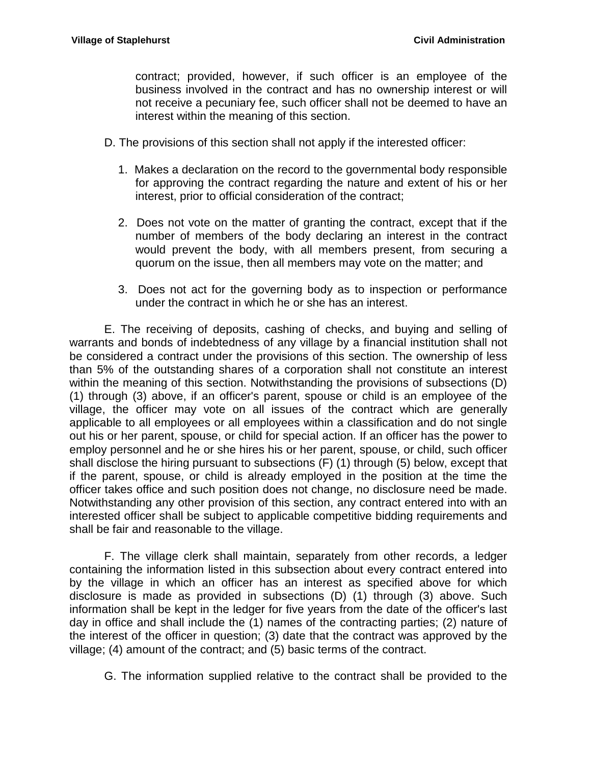contract; provided, however, if such officer is an employee of the business involved in the contract and has no ownership interest or will not receive a pecuniary fee, such officer shall not be deemed to have an interest within the meaning of this section.

- D. The provisions of this section shall not apply if the interested officer:
	- 1. Makes a declaration on the record to the governmental body responsible for approving the contract regarding the nature and extent of his or her interest, prior to official consideration of the contract;
	- 2. Does not vote on the matter of granting the contract, except that if the number of members of the body declaring an interest in the contract would prevent the body, with all members present, from securing a quorum on the issue, then all members may vote on the matter; and
	- 3. Does not act for the governing body as to inspection or performance under the contract in which he or she has an interest.

E. The receiving of deposits, cashing of checks, and buying and selling of warrants and bonds of indebtedness of any village by a financial institution shall not be considered a contract under the provisions of this section. The ownership of less than 5% of the outstanding shares of a corporation shall not constitute an interest within the meaning of this section. Notwithstanding the provisions of subsections (D) (1) through (3) above, if an officer's parent, spouse or child is an employee of the village, the officer may vote on all issues of the contract which are generally applicable to all employees or all employees within a classification and do not single out his or her parent, spouse, or child for special action. If an officer has the power to employ personnel and he or she hires his or her parent, spouse, or child, such officer shall disclose the hiring pursuant to subsections (F) (1) through (5) below, except that if the parent, spouse, or child is already employed in the position at the time the officer takes office and such position does not change, no disclosure need be made. Notwithstanding any other provision of this section, any contract entered into with an interested officer shall be subject to applicable competitive bidding requirements and shall be fair and reasonable to the village.

F. The village clerk shall maintain, separately from other records, a ledger containing the information listed in this subsection about every contract entered into by the village in which an officer has an interest as specified above for which disclosure is made as provided in subsections (D) (1) through (3) above. Such information shall be kept in the ledger for five years from the date of the officer's last day in office and shall include the (1) names of the contracting parties; (2) nature of the interest of the officer in question; (3) date that the contract was approved by the village; (4) amount of the contract; and (5) basic terms of the contract.

G. The information supplied relative to the contract shall be provided to the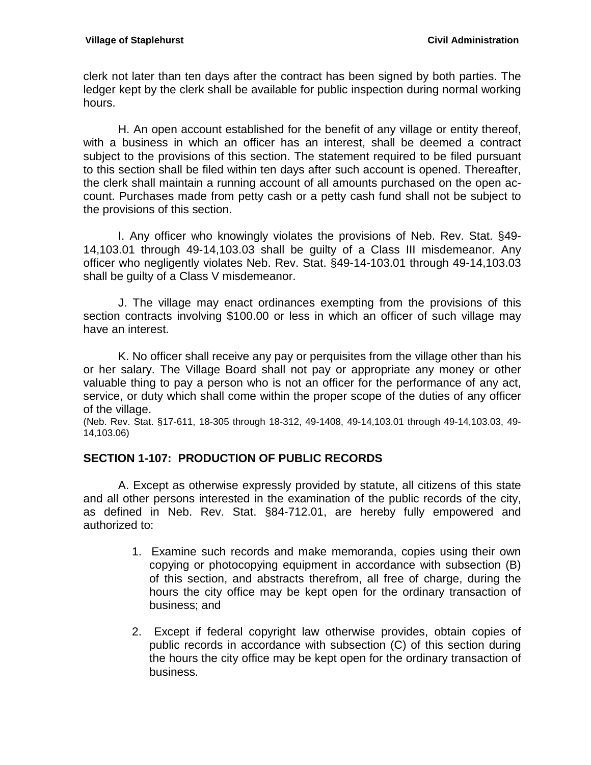clerk not later than ten days after the contract has been signed by both parties. The ledger kept by the clerk shall be available for public inspection during normal working hours.

H. An open account established for the benefit of any village or entity thereof, with a business in which an officer has an interest, shall be deemed a contract subject to the provisions of this section. The statement required to be filed pursuant to this section shall be filed within ten days after such account is opened. Thereafter, the clerk shall maintain a running account of all amounts purchased on the open account. Purchases made from petty cash or a petty cash fund shall not be subject to the provisions of this section.

I. Any officer who knowingly violates the provisions of Neb. Rev. Stat. §49- 14,103.01 through 49-14,103.03 shall be guilty of a Class III misdemeanor. Any officer who negligently violates Neb. Rev. Stat. §49-14-103.01 through 49-14,103.03 shall be guilty of a Class V misdemeanor.

J. The village may enact ordinances exempting from the provisions of this section contracts involving \$100.00 or less in which an officer of such village may have an interest.

K. No officer shall receive any pay or perquisites from the village other than his or her salary. The Village Board shall not pay or appropriate any money or other valuable thing to pay a person who is not an officer for the performance of any act, service, or duty which shall come within the proper scope of the duties of any officer of the village.

(Neb. Rev. Stat. §17-611, 18-305 through 18-312, 49-1408, 49-14,103.01 through 49-14,103.03, 49- 14,103.06)

### <span id="page-8-0"></span>**SECTION 1-107: PRODUCTION OF PUBLIC RECORDS**

A. Except as otherwise expressly provided by statute, all citizens of this state and all other persons interested in the examination of the public records of the city, as defined in Neb. Rev. Stat. §84-712.01, are hereby fully empowered and authorized to:

- 1. Examine such records and make memoranda, copies using their own copying or photocopying equipment in accordance with subsection (B) of this section, and abstracts therefrom, all free of charge, during the hours the city office may be kept open for the ordinary transaction of business; and
- 2. Except if federal copyright law otherwise provides, obtain copies of public records in accordance with subsection (C) of this section during the hours the city office may be kept open for the ordinary transaction of business.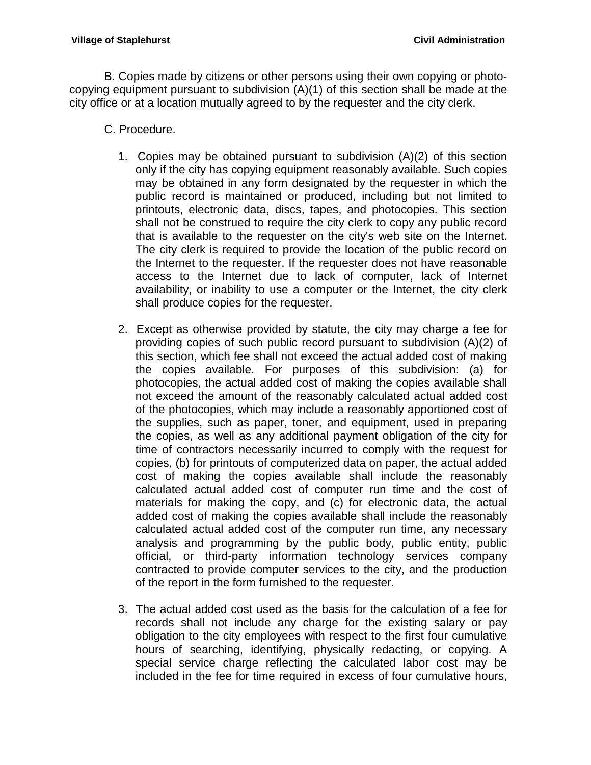B. Copies made by citizens or other persons using their own copying or photocopying equipment pursuant to subdivision (A)(1) of this section shall be made at the city office or at a location mutually agreed to by the requester and the city clerk.

- C. Procedure.
	- 1. Copies may be obtained pursuant to subdivision (A)(2) of this section only if the city has copying equipment reasonably available. Such copies may be obtained in any form designated by the requester in which the public record is maintained or produced, including but not limited to printouts, electronic data, discs, tapes, and photocopies. This section shall not be construed to require the city clerk to copy any public record that is available to the requester on the city's web site on the Internet. The city clerk is required to provide the location of the public record on the Internet to the requester. If the requester does not have reasonable access to the Internet due to lack of computer, lack of Internet availability, or inability to use a computer or the Internet, the city clerk shall produce copies for the requester.
	- 2. Except as otherwise provided by statute, the city may charge a fee for providing copies of such public record pursuant to subdivision (A)(2) of this section, which fee shall not exceed the actual added cost of making the copies available. For purposes of this subdivision: (a) for photocopies, the actual added cost of making the copies available shall not exceed the amount of the reasonably calculated actual added cost of the photocopies, which may include a reasonably apportioned cost of the supplies, such as paper, toner, and equipment, used in preparing the copies, as well as any additional payment obligation of the city for time of contractors necessarily incurred to comply with the request for copies, (b) for printouts of computerized data on paper, the actual added cost of making the copies available shall include the reasonably calculated actual added cost of computer run time and the cost of materials for making the copy, and (c) for electronic data, the actual added cost of making the copies available shall include the reasonably calculated actual added cost of the computer run time, any necessary analysis and programming by the public body, public entity, public official, or third-party information technology services company contracted to provide computer services to the city, and the production of the report in the form furnished to the requester.
	- 3. The actual added cost used as the basis for the calculation of a fee for records shall not include any charge for the existing salary or pay obligation to the city employees with respect to the first four cumulative hours of searching, identifying, physically redacting, or copying. A special service charge reflecting the calculated labor cost may be included in the fee for time required in excess of four cumulative hours,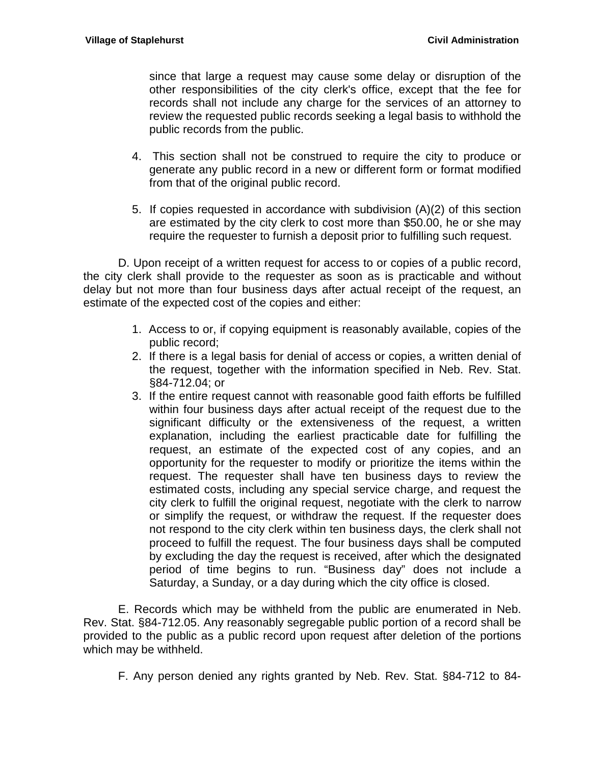since that large a request may cause some delay or disruption of the other responsibilities of the city clerk's office, except that the fee for records shall not include any charge for the services of an attorney to review the requested public records seeking a legal basis to withhold the public records from the public.

- 4. This section shall not be construed to require the city to produce or generate any public record in a new or different form or format modified from that of the original public record.
- 5. If copies requested in accordance with subdivision (A)(2) of this section are estimated by the city clerk to cost more than \$50.00, he or she may require the requester to furnish a deposit prior to fulfilling such request.

D. Upon receipt of a written request for access to or copies of a public record, the city clerk shall provide to the requester as soon as is practicable and without delay but not more than four business days after actual receipt of the request, an estimate of the expected cost of the copies and either:

- 1. Access to or, if copying equipment is reasonably available, copies of the public record;
- 2. If there is a legal basis for denial of access or copies, a written denial of the request, together with the information specified in Neb. Rev. Stat. §84-712.04; or
- 3. If the entire request cannot with reasonable good faith efforts be fulfilled within four business days after actual receipt of the request due to the significant difficulty or the extensiveness of the request, a written explanation, including the earliest practicable date for fulfilling the request, an estimate of the expected cost of any copies, and an opportunity for the requester to modify or prioritize the items within the request. The requester shall have ten business days to review the estimated costs, including any special service charge, and request the city clerk to fulfill the original request, negotiate with the clerk to narrow or simplify the request, or withdraw the request. If the requester does not respond to the city clerk within ten business days, the clerk shall not proceed to fulfill the request. The four business days shall be computed by excluding the day the request is received, after which the designated period of time begins to run. "Business day" does not include a Saturday, a Sunday, or a day during which the city office is closed.

E. Records which may be withheld from the public are enumerated in Neb. Rev. Stat. §84-712.05. Any reasonably segregable public portion of a record shall be provided to the public as a public record upon request after deletion of the portions which may be withheld.

F. Any person denied any rights granted by Neb. Rev. Stat. §84-712 to 84-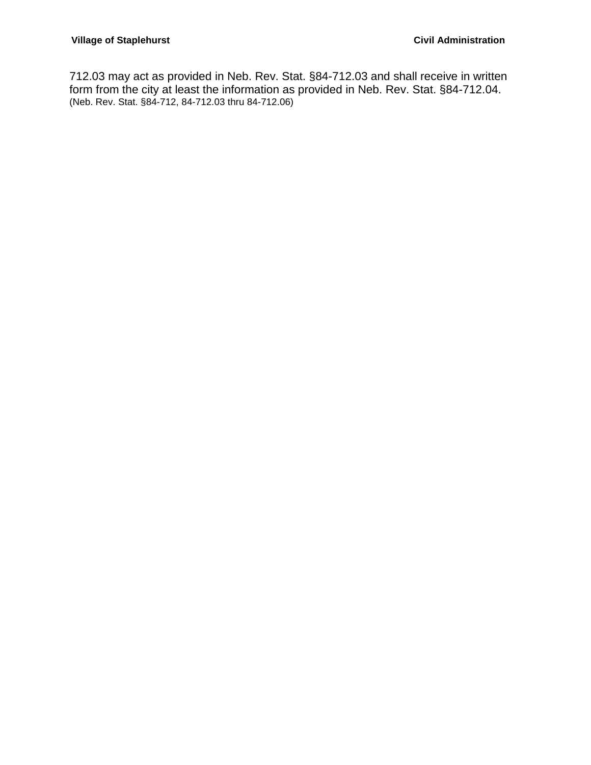712.03 may act as provided in Neb. Rev. Stat. §84-712.03 and shall receive in written form from the city at least the information as provided in Neb. Rev. Stat. §84-712.04. (Neb. Rev. Stat. §84-712, 84-712.03 thru 84-712.06)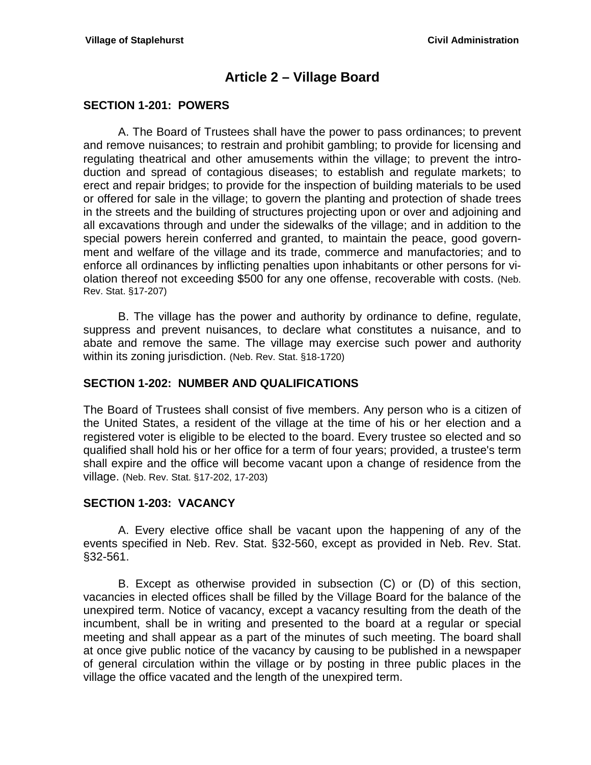## **Article 2 – Village Board**

### <span id="page-12-1"></span><span id="page-12-0"></span>**SECTION 1-201: POWERS**

A. The Board of Trustees shall have the power to pass ordinances; to prevent and remove nuisances; to restrain and prohibit gambling; to provide for licensing and regulating theatrical and other amusements within the village; to prevent the introduction and spread of contagious diseases; to establish and regulate markets; to erect and repair bridges; to provide for the inspection of building materials to be used or offered for sale in the village; to govern the planting and protection of shade trees in the streets and the building of structures projecting upon or over and adjoining and all excavations through and under the sidewalks of the village; and in addition to the special powers herein conferred and granted, to maintain the peace, good government and welfare of the village and its trade, commerce and manufactories; and to enforce all ordinances by inflicting penalties upon inhabitants or other persons for violation thereof not exceeding \$500 for any one offense, recoverable with costs. (Neb. Rev. Stat. §17-207)

B. The village has the power and authority by ordinance to define, regulate, suppress and prevent nuisances, to declare what constitutes a nuisance, and to abate and remove the same. The village may exercise such power and authority within its zoning jurisdiction. (Neb. Rev. Stat. §18-1720)

#### <span id="page-12-2"></span>**SECTION 1-202: NUMBER AND QUALIFICATIONS**

The Board of Trustees shall consist of five members. Any person who is a citizen of the United States, a resident of the village at the time of his or her election and a registered voter is eligible to be elected to the board. Every trustee so elected and so qualified shall hold his or her office for a term of four years; provided, a trustee's term shall expire and the office will become vacant upon a change of residence from the village. (Neb. Rev. Stat. §17-202, 17-203)

#### <span id="page-12-3"></span>**SECTION 1-203: VACANCY**

A. Every elective office shall be vacant upon the happening of any of the events specified in Neb. Rev. Stat. §32-560, except as provided in Neb. Rev. Stat. §32-561.

B. Except as otherwise provided in subsection (C) or (D) of this section, vacancies in elected offices shall be filled by the Village Board for the balance of the unexpired term. Notice of vacancy, except a vacancy resulting from the death of the incumbent, shall be in writing and presented to the board at a regular or special meeting and shall appear as a part of the minutes of such meeting. The board shall at once give public notice of the vacancy by causing to be published in a newspaper of general circulation within the village or by posting in three public places in the village the office vacated and the length of the unexpired term.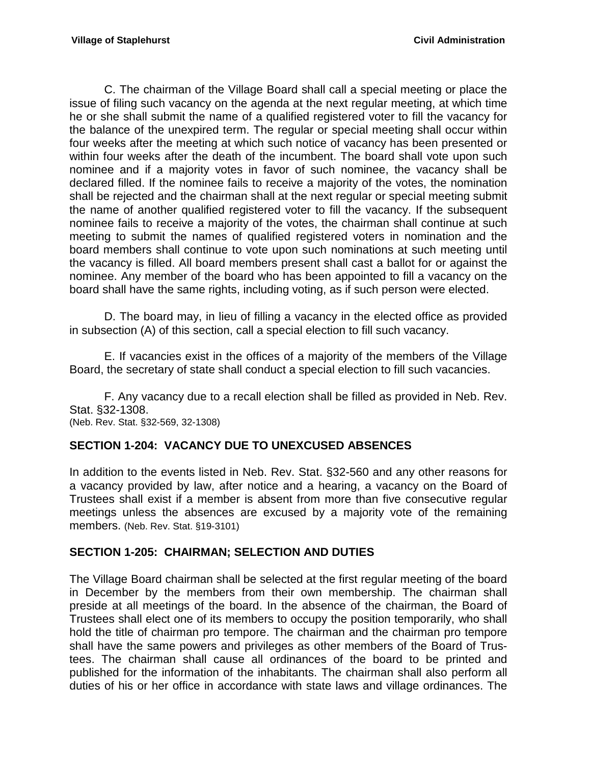C. The chairman of the Village Board shall call a special meeting or place the issue of filing such vacancy on the agenda at the next regular meeting, at which time he or she shall submit the name of a qualified registered voter to fill the vacancy for the balance of the unexpired term. The regular or special meeting shall occur within four weeks after the meeting at which such notice of vacancy has been presented or within four weeks after the death of the incumbent. The board shall vote upon such nominee and if a majority votes in favor of such nominee, the vacancy shall be declared filled. If the nominee fails to receive a majority of the votes, the nomination shall be rejected and the chairman shall at the next regular or special meeting submit the name of another qualified registered voter to fill the vacancy. If the subsequent nominee fails to receive a majority of the votes, the chairman shall continue at such meeting to submit the names of qualified registered voters in nomination and the board members shall continue to vote upon such nominations at such meeting until the vacancy is filled. All board members present shall cast a ballot for or against the nominee. Any member of the board who has been appointed to fill a vacancy on the board shall have the same rights, including voting, as if such person were elected.

D. The board may, in lieu of filling a vacancy in the elected office as provided in subsection (A) of this section, call a special election to fill such vacancy.

E. If vacancies exist in the offices of a majority of the members of the Village Board, the secretary of state shall conduct a special election to fill such vacancies.

F. Any vacancy due to a recall election shall be filled as provided in Neb. Rev. Stat. §32-1308.

(Neb. Rev. Stat. §32-569, 32-1308)

### <span id="page-13-0"></span>**SECTION 1-204: VACANCY DUE TO UNEXCUSED ABSENCES**

In addition to the events listed in Neb. Rev. Stat. §32-560 and any other reasons for a vacancy provided by law, after notice and a hearing, a vacancy on the Board of Trustees shall exist if a member is absent from more than five consecutive regular meetings unless the absences are excused by a majority vote of the remaining members. (Neb. Rev. Stat. §19-3101)

#### <span id="page-13-1"></span>**SECTION 1-205: CHAIRMAN; SELECTION AND DUTIES**

The Village Board chairman shall be selected at the first regular meeting of the board in December by the members from their own membership. The chairman shall preside at all meetings of the board. In the absence of the chairman, the Board of Trustees shall elect one of its members to occupy the position temporarily, who shall hold the title of chairman pro tempore. The chairman and the chairman pro tempore shall have the same powers and privileges as other members of the Board of Trustees. The chairman shall cause all ordinances of the board to be printed and published for the information of the inhabitants. The chairman shall also perform all duties of his or her office in accordance with state laws and village ordinances. The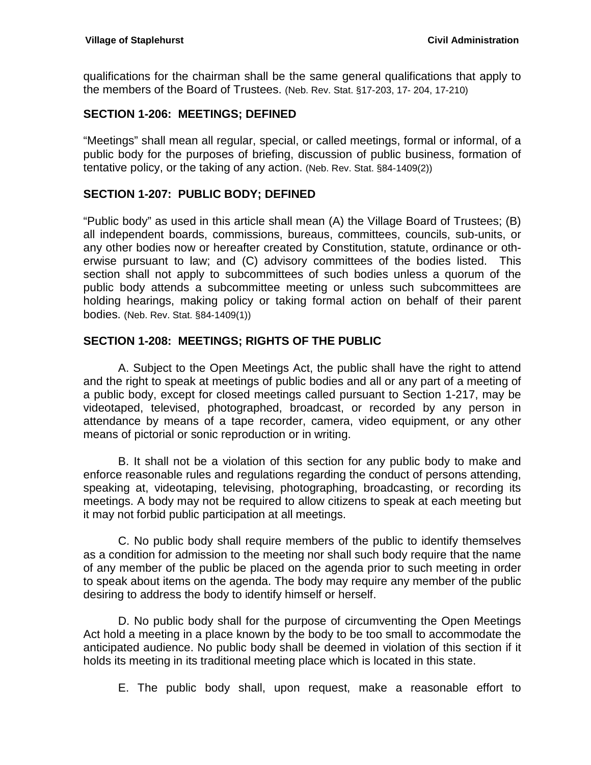qualifications for the chairman shall be the same general qualifications that apply to the members of the Board of Trustees. (Neb. Rev. Stat. §17-203, 17- 204, 17-210)

### <span id="page-14-0"></span>**SECTION 1-206: MEETINGS; DEFINED**

"Meetings" shall mean all regular, special, or called meetings, formal or informal, of a public body for the purposes of briefing, discussion of public business, formation of tentative policy, or the taking of any action. (Neb. Rev. Stat. §84-1409(2))

### <span id="page-14-1"></span>**SECTION 1-207: PUBLIC BODY; DEFINED**

"Public body" as used in this article shall mean (A) the Village Board of Trustees; (B) all independent boards, commissions, bureaus, committees, councils, sub-units, or any other bodies now or hereafter created by Constitution, statute, ordinance or otherwise pursuant to law; and (C) advisory committees of the bodies listed. This section shall not apply to subcommittees of such bodies unless a quorum of the public body attends a subcommittee meeting or unless such subcommittees are holding hearings, making policy or taking formal action on behalf of their parent bodies. (Neb. Rev. Stat. §84-1409(1))

### <span id="page-14-2"></span>**SECTION 1-208: MEETINGS; RIGHTS OF THE PUBLIC**

A. Subject to the Open Meetings Act, the public shall have the right to attend and the right to speak at meetings of public bodies and all or any part of a meeting of a public body, except for closed meetings called pursuant to Section 1-217, may be videotaped, televised, photographed, broadcast, or recorded by any person in attendance by means of a tape recorder, camera, video equipment, or any other means of pictorial or sonic reproduction or in writing.

B. It shall not be a violation of this section for any public body to make and enforce reasonable rules and regulations regarding the conduct of persons attending, speaking at, videotaping, televising, photographing, broadcasting, or recording its meetings. A body may not be required to allow citizens to speak at each meeting but it may not forbid public participation at all meetings.

C. No public body shall require members of the public to identify themselves as a condition for admission to the meeting nor shall such body require that the name of any member of the public be placed on the agenda prior to such meeting in order to speak about items on the agenda. The body may require any member of the public desiring to address the body to identify himself or herself.

D. No public body shall for the purpose of circumventing the Open Meetings Act hold a meeting in a place known by the body to be too small to accommodate the anticipated audience. No public body shall be deemed in violation of this section if it holds its meeting in its traditional meeting place which is located in this state.

E. The public body shall, upon request, make a reasonable effort to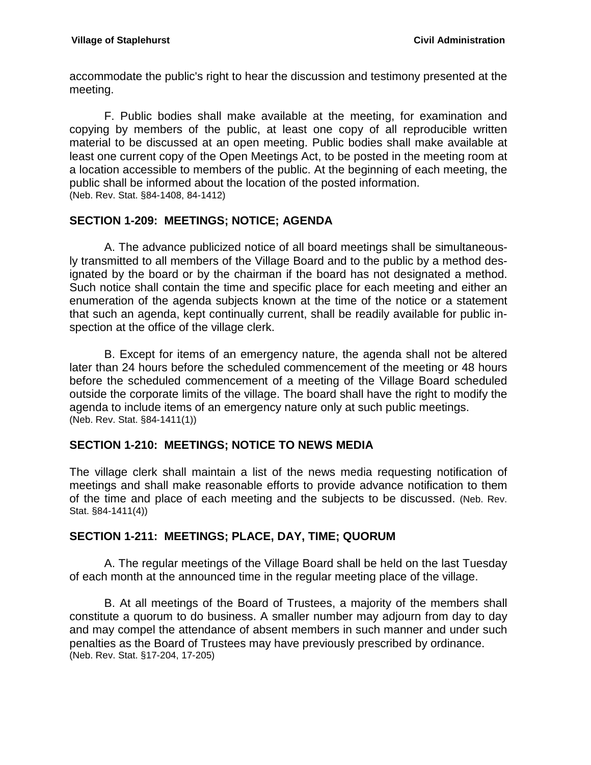accommodate the public's right to hear the discussion and testimony presented at the meeting.

F. Public bodies shall make available at the meeting, for examination and copying by members of the public, at least one copy of all reproducible written material to be discussed at an open meeting. Public bodies shall make available at least one current copy of the Open Meetings Act, to be posted in the meeting room at a location accessible to members of the public. At the beginning of each meeting, the public shall be informed about the location of the posted information. (Neb. Rev. Stat. §84-1408, 84-1412)

## <span id="page-15-0"></span>**SECTION 1-209: MEETINGS; NOTICE; AGENDA**

A. The advance publicized notice of all board meetings shall be simultaneously transmitted to all members of the Village Board and to the public by a method designated by the board or by the chairman if the board has not designated a method. Such notice shall contain the time and specific place for each meeting and either an enumeration of the agenda subjects known at the time of the notice or a statement that such an agenda, kept continually current, shall be readily available for public inspection at the office of the village clerk.

B. Except for items of an emergency nature, the agenda shall not be altered later than 24 hours before the scheduled commencement of the meeting or 48 hours before the scheduled commencement of a meeting of the Village Board scheduled outside the corporate limits of the village. The board shall have the right to modify the agenda to include items of an emergency nature only at such public meetings. (Neb. Rev. Stat. §84-1411(1))

### <span id="page-15-1"></span>**SECTION 1-210: MEETINGS; NOTICE TO NEWS MEDIA**

The village clerk shall maintain a list of the news media requesting notification of meetings and shall make reasonable efforts to provide advance notification to them of the time and place of each meeting and the subjects to be discussed. (Neb. Rev. Stat. §84-1411(4))

### <span id="page-15-2"></span>**SECTION 1-211: MEETINGS; PLACE, DAY, TIME; QUORUM**

A. The regular meetings of the Village Board shall be held on the last Tuesday of each month at the announced time in the regular meeting place of the village.

B. At all meetings of the Board of Trustees, a majority of the members shall constitute a quorum to do business. A smaller number may adjourn from day to day and may compel the attendance of absent members in such manner and under such penalties as the Board of Trustees may have previously prescribed by ordinance. (Neb. Rev. Stat. §17-204, 17-205)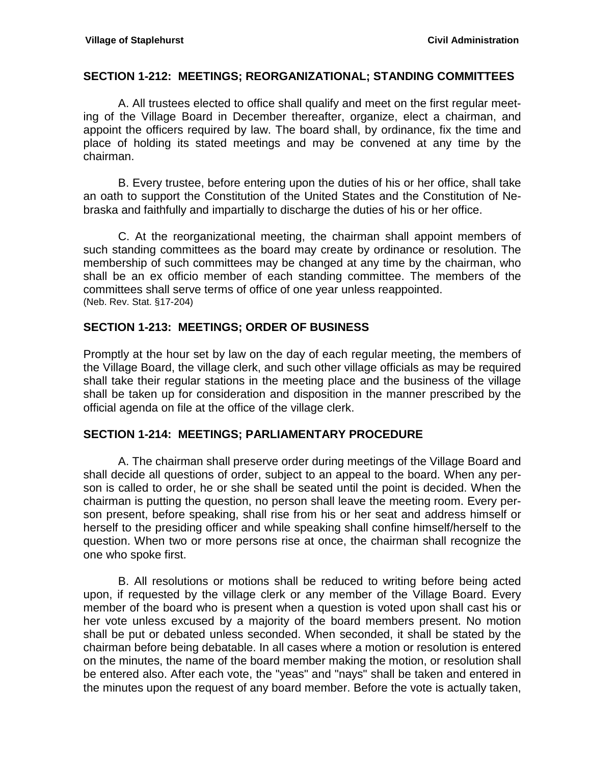#### <span id="page-16-0"></span>**SECTION 1-212: MEETINGS; REORGANIZATIONAL; STANDING COMMITTEES**

A. All trustees elected to office shall qualify and meet on the first regular meeting of the Village Board in December thereafter, organize, elect a chairman, and appoint the officers required by law. The board shall, by ordinance, fix the time and place of holding its stated meetings and may be convened at any time by the chairman.

B. Every trustee, before entering upon the duties of his or her office, shall take an oath to support the Constitution of the United States and the Constitution of Nebraska and faithfully and impartially to discharge the duties of his or her office.

C. At the reorganizational meeting, the chairman shall appoint members of such standing committees as the board may create by ordinance or resolution. The membership of such committees may be changed at any time by the chairman, who shall be an ex officio member of each standing committee. The members of the committees shall serve terms of office of one year unless reappointed. (Neb. Rev. Stat. §17-204)

#### <span id="page-16-1"></span>**SECTION 1-213: MEETINGS; ORDER OF BUSINESS**

Promptly at the hour set by law on the day of each regular meeting, the members of the Village Board, the village clerk, and such other village officials as may be required shall take their regular stations in the meeting place and the business of the village shall be taken up for consideration and disposition in the manner prescribed by the official agenda on file at the office of the village clerk.

#### <span id="page-16-2"></span>**SECTION 1-214: MEETINGS; PARLIAMENTARY PROCEDURE**

A. The chairman shall preserve order during meetings of the Village Board and shall decide all questions of order, subject to an appeal to the board. When any person is called to order, he or she shall be seated until the point is decided. When the chairman is putting the question, no person shall leave the meeting room. Every person present, before speaking, shall rise from his or her seat and address himself or herself to the presiding officer and while speaking shall confine himself/herself to the question. When two or more persons rise at once, the chairman shall recognize the one who spoke first.

B. All resolutions or motions shall be reduced to writing before being acted upon, if requested by the village clerk or any member of the Village Board. Every member of the board who is present when a question is voted upon shall cast his or her vote unless excused by a majority of the board members present. No motion shall be put or debated unless seconded. When seconded, it shall be stated by the chairman before being debatable. In all cases where a motion or resolution is entered on the minutes, the name of the board member making the motion, or resolution shall be entered also. After each vote, the "yeas" and "nays" shall be taken and entered in the minutes upon the request of any board member. Before the vote is actually taken,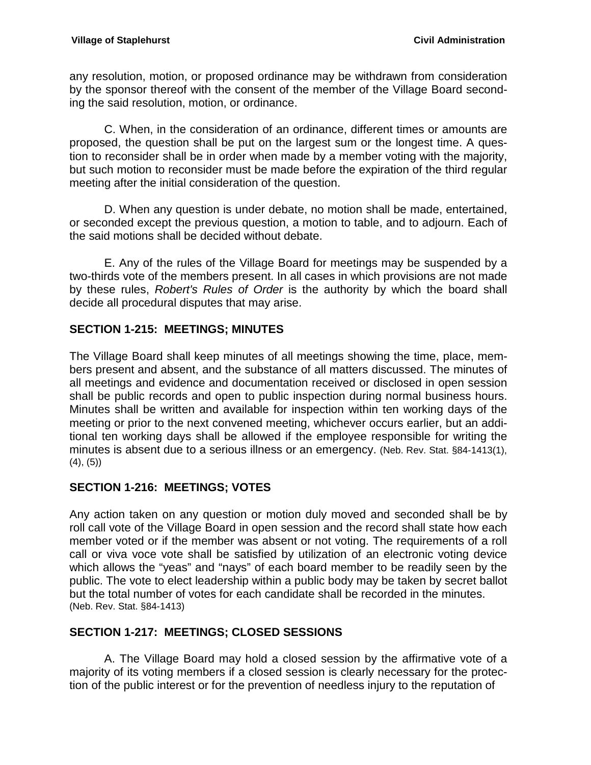any resolution, motion, or proposed ordinance may be withdrawn from consideration by the sponsor thereof with the consent of the member of the Village Board seconding the said resolution, motion, or ordinance.

C. When, in the consideration of an ordinance, different times or amounts are proposed, the question shall be put on the largest sum or the longest time. A question to reconsider shall be in order when made by a member voting with the majority, but such motion to reconsider must be made before the expiration of the third regular meeting after the initial consideration of the question.

D. When any question is under debate, no motion shall be made, entertained, or seconded except the previous question, a motion to table, and to adjourn. Each of the said motions shall be decided without debate.

E. Any of the rules of the Village Board for meetings may be suspended by a two-thirds vote of the members present. In all cases in which provisions are not made by these rules, *Robert's Rules of Order* is the authority by which the board shall decide all procedural disputes that may arise.

## <span id="page-17-0"></span>**SECTION 1-215: MEETINGS; MINUTES**

The Village Board shall keep minutes of all meetings showing the time, place, members present and absent, and the substance of all matters discussed. The minutes of all meetings and evidence and documentation received or disclosed in open session shall be public records and open to public inspection during normal business hours. Minutes shall be written and available for inspection within ten working days of the meeting or prior to the next convened meeting, whichever occurs earlier, but an additional ten working days shall be allowed if the employee responsible for writing the minutes is absent due to a serious illness or an emergency. (Neb. Rev. Stat. §84-1413(1), (4), (5))

### <span id="page-17-1"></span>**SECTION 1-216: MEETINGS; VOTES**

Any action taken on any question or motion duly moved and seconded shall be by roll call vote of the Village Board in open session and the record shall state how each member voted or if the member was absent or not voting. The requirements of a roll call or viva voce vote shall be satisfied by utilization of an electronic voting device which allows the "yeas" and "nays" of each board member to be readily seen by the public. The vote to elect leadership within a public body may be taken by secret ballot but the total number of votes for each candidate shall be recorded in the minutes. (Neb. Rev. Stat. §84-1413)

## <span id="page-17-2"></span>**SECTION 1-217: MEETINGS; CLOSED SESSIONS**

A. The Village Board may hold a closed session by the affirmative vote of a majority of its voting members if a closed session is clearly necessary for the protection of the public interest or for the prevention of needless injury to the reputation of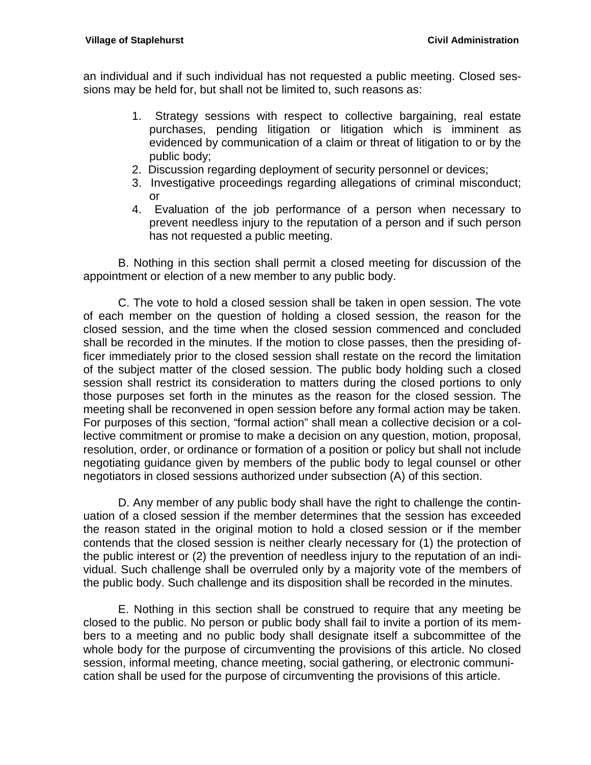an individual and if such individual has not requested a public meeting. Closed sessions may be held for, but shall not be limited to, such reasons as:

- 1. Strategy sessions with respect to collective bargaining, real estate purchases, pending litigation or litigation which is imminent as evidenced by communication of a claim or threat of litigation to or by the public body;
- 2. Discussion regarding deployment of security personnel or devices;
- 3. Investigative proceedings regarding allegations of criminal misconduct; or
- 4. Evaluation of the job performance of a person when necessary to prevent needless injury to the reputation of a person and if such person has not requested a public meeting.

B. Nothing in this section shall permit a closed meeting for discussion of the appointment or election of a new member to any public body.

C. The vote to hold a closed session shall be taken in open session. The vote of each member on the question of holding a closed session, the reason for the closed session, and the time when the closed session commenced and concluded shall be recorded in the minutes. If the motion to close passes, then the presiding officer immediately prior to the closed session shall restate on the record the limitation of the subject matter of the closed session. The public body holding such a closed session shall restrict its consideration to matters during the closed portions to only those purposes set forth in the minutes as the reason for the closed session. The meeting shall be reconvened in open session before any formal action may be taken. For purposes of this section, "formal action" shall mean a collective decision or a collective commitment or promise to make a decision on any question, motion, proposal, resolution, order, or ordinance or formation of a position or policy but shall not include negotiating guidance given by members of the public body to legal counsel or other negotiators in closed sessions authorized under subsection (A) of this section.

D. Any member of any public body shall have the right to challenge the continuation of a closed session if the member determines that the session has exceeded the reason stated in the original motion to hold a closed session or if the member contends that the closed session is neither clearly necessary for (1) the protection of the public interest or (2) the prevention of needless injury to the reputation of an individual. Such challenge shall be overruled only by a majority vote of the members of the public body. Such challenge and its disposition shall be recorded in the minutes.

E. Nothing in this section shall be construed to require that any meeting be closed to the public. No person or public body shall fail to invite a portion of its members to a meeting and no public body shall designate itself a subcommittee of the whole body for the purpose of circumventing the provisions of this article. No closed session, informal meeting, chance meeting, social gathering, or electronic communication shall be used for the purpose of circumventing the provisions of this article.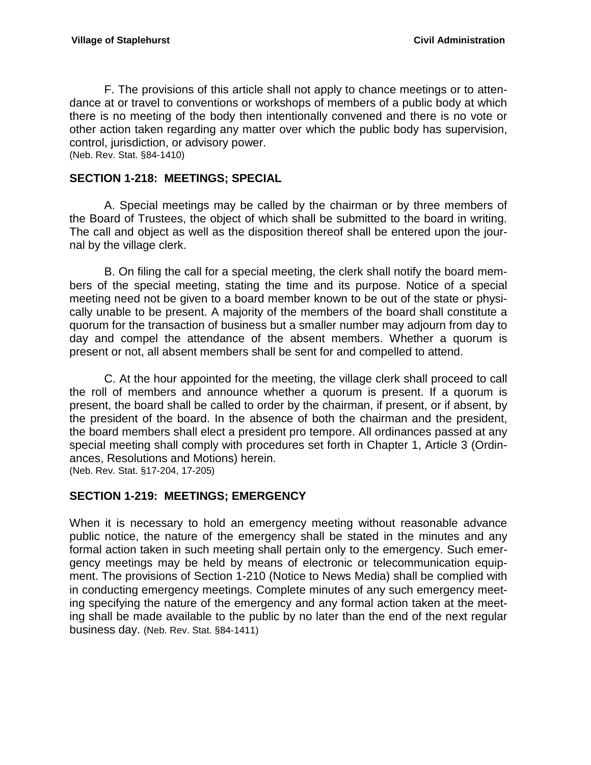F. The provisions of this article shall not apply to chance meetings or to attendance at or travel to conventions or workshops of members of a public body at which there is no meeting of the body then intentionally convened and there is no vote or other action taken regarding any matter over which the public body has supervision, control, jurisdiction, or advisory power. (Neb. Rev. Stat. §84-1410)

#### <span id="page-19-0"></span>**SECTION 1-218: MEETINGS; SPECIAL**

A. Special meetings may be called by the chairman or by three members of the Board of Trustees, the object of which shall be submitted to the board in writing. The call and object as well as the disposition thereof shall be entered upon the journal by the village clerk.

B. On filing the call for a special meeting, the clerk shall notify the board members of the special meeting, stating the time and its purpose. Notice of a special meeting need not be given to a board member known to be out of the state or physically unable to be present. A majority of the members of the board shall constitute a quorum for the transaction of business but a smaller number may adjourn from day to day and compel the attendance of the absent members. Whether a quorum is present or not, all absent members shall be sent for and compelled to attend.

C. At the hour appointed for the meeting, the village clerk shall proceed to call the roll of members and announce whether a quorum is present. If a quorum is present, the board shall be called to order by the chairman, if present, or if absent, by the president of the board. In the absence of both the chairman and the president, the board members shall elect a president pro tempore. All ordinances passed at any special meeting shall comply with procedures set forth in Chapter 1, Article 3 (Ordinances, Resolutions and Motions) herein. (Neb. Rev. Stat. §17-204, 17-205)

### <span id="page-19-1"></span>**SECTION 1-219: MEETINGS; EMERGENCY**

When it is necessary to hold an emergency meeting without reasonable advance public notice, the nature of the emergency shall be stated in the minutes and any formal action taken in such meeting shall pertain only to the emergency. Such emergency meetings may be held by means of electronic or telecommunication equipment. The provisions of Section 1-210 (Notice to News Media) shall be complied with in conducting emergency meetings. Complete minutes of any such emergency meeting specifying the nature of the emergency and any formal action taken at the meeting shall be made available to the public by no later than the end of the next regular business day. (Neb. Rev. Stat. §84-1411)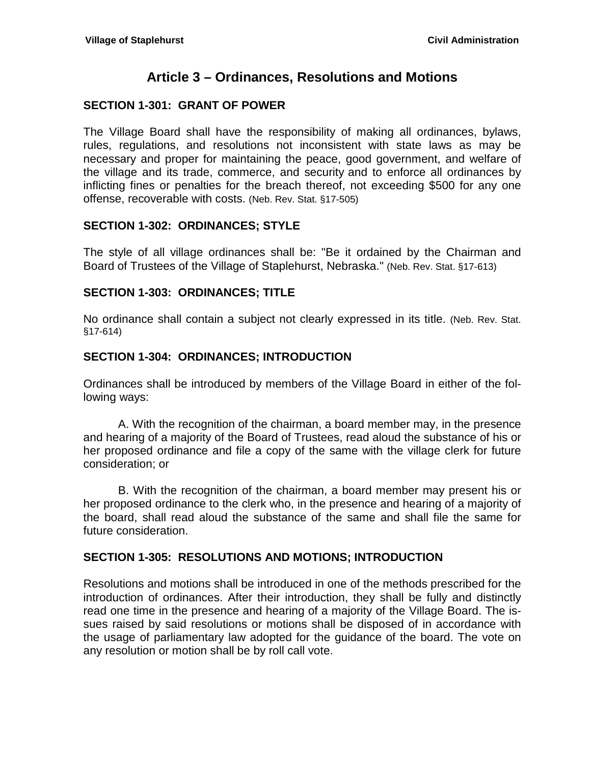# **Article 3 – Ordinances, Resolutions and Motions**

### <span id="page-20-1"></span><span id="page-20-0"></span>**SECTION 1-301: GRANT OF POWER**

The Village Board shall have the responsibility of making all ordinances, bylaws, rules, regulations, and resolutions not inconsistent with state laws as may be necessary and proper for maintaining the peace, good government, and welfare of the village and its trade, commerce, and security and to enforce all ordinances by inflicting fines or penalties for the breach thereof, not exceeding \$500 for any one offense, recoverable with costs. (Neb. Rev. Stat. §17-505)

### <span id="page-20-2"></span>**SECTION 1-302: ORDINANCES; STYLE**

The style of all village ordinances shall be: "Be it ordained by the Chairman and Board of Trustees of the Village of Staplehurst, Nebraska." (Neb. Rev. Stat. §17-613)

### <span id="page-20-3"></span>**SECTION 1-303: ORDINANCES; TITLE**

No ordinance shall contain a subject not clearly expressed in its title. (Neb. Rev. Stat. §17-614)

### <span id="page-20-4"></span>**SECTION 1-304: ORDINANCES; INTRODUCTION**

Ordinances shall be introduced by members of the Village Board in either of the following ways:

A. With the recognition of the chairman, a board member may, in the presence and hearing of a majority of the Board of Trustees, read aloud the substance of his or her proposed ordinance and file a copy of the same with the village clerk for future consideration; or

B. With the recognition of the chairman, a board member may present his or her proposed ordinance to the clerk who, in the presence and hearing of a majority of the board, shall read aloud the substance of the same and shall file the same for future consideration.

#### <span id="page-20-5"></span>**SECTION 1-305: RESOLUTIONS AND MOTIONS; INTRODUCTION**

Resolutions and motions shall be introduced in one of the methods prescribed for the introduction of ordinances. After their introduction, they shall be fully and distinctly read one time in the presence and hearing of a majority of the Village Board. The issues raised by said resolutions or motions shall be disposed of in accordance with the usage of parliamentary law adopted for the guidance of the board. The vote on any resolution or motion shall be by roll call vote.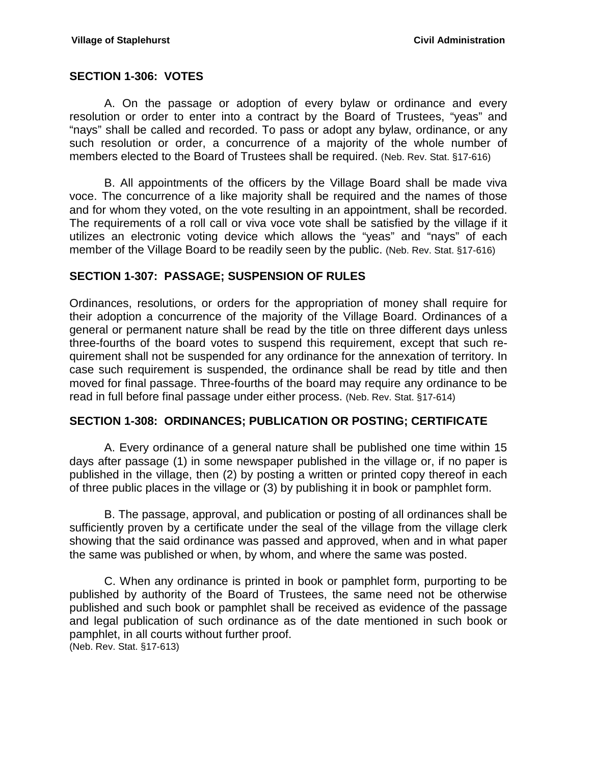#### <span id="page-21-0"></span>**SECTION 1-306: VOTES**

A. On the passage or adoption of every bylaw or ordinance and every resolution or order to enter into a contract by the Board of Trustees, "yeas" and "nays" shall be called and recorded. To pass or adopt any bylaw, ordinance, or any such resolution or order, a concurrence of a majority of the whole number of members elected to the Board of Trustees shall be required. (Neb. Rev. Stat. §17-616)

B. All appointments of the officers by the Village Board shall be made viva voce. The concurrence of a like majority shall be required and the names of those and for whom they voted, on the vote resulting in an appointment, shall be recorded. The requirements of a roll call or viva voce vote shall be satisfied by the village if it utilizes an electronic voting device which allows the "yeas" and "nays" of each member of the Village Board to be readily seen by the public. (Neb. Rev. Stat. §17-616)

#### <span id="page-21-1"></span>**SECTION 1-307: PASSAGE; SUSPENSION OF RULES**

Ordinances, resolutions, or orders for the appropriation of money shall require for their adoption a concurrence of the majority of the Village Board. Ordinances of a general or permanent nature shall be read by the title on three different days unless three-fourths of the board votes to suspend this requirement, except that such requirement shall not be suspended for any ordinance for the annexation of territory. In case such requirement is suspended, the ordinance shall be read by title and then moved for final passage. Three-fourths of the board may require any ordinance to be read in full before final passage under either process. (Neb. Rev. Stat. §17-614)

#### <span id="page-21-2"></span>**SECTION 1-308: ORDINANCES; PUBLICATION OR POSTING; CERTIFICATE**

A. Every ordinance of a general nature shall be published one time within 15 days after passage (1) in some newspaper published in the village or, if no paper is published in the village, then (2) by posting a written or printed copy thereof in each of three public places in the village or (3) by publishing it in book or pamphlet form.

B. The passage, approval, and publication or posting of all ordinances shall be sufficiently proven by a certificate under the seal of the village from the village clerk showing that the said ordinance was passed and approved, when and in what paper the same was published or when, by whom, and where the same was posted.

C. When any ordinance is printed in book or pamphlet form, purporting to be published by authority of the Board of Trustees, the same need not be otherwise published and such book or pamphlet shall be received as evidence of the passage and legal publication of such ordinance as of the date mentioned in such book or pamphlet, in all courts without further proof. (Neb. Rev. Stat. §17-613)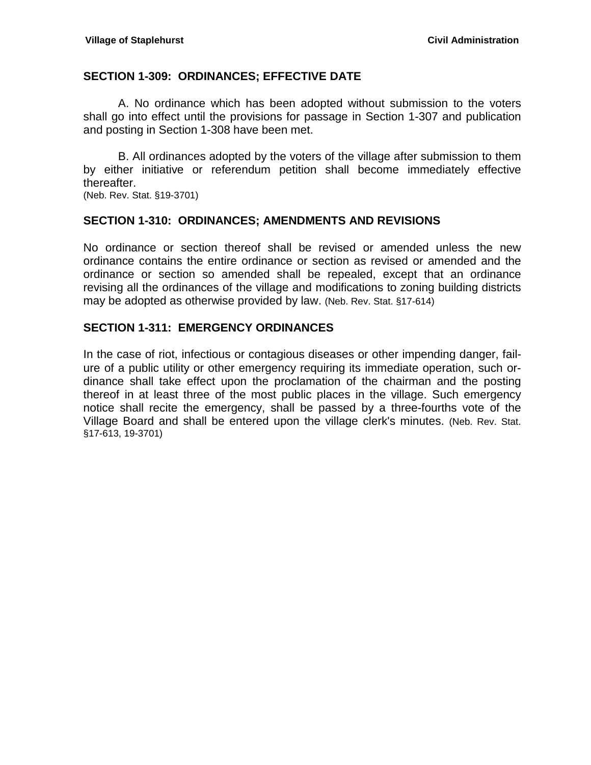#### <span id="page-22-0"></span>**SECTION 1-309: ORDINANCES; EFFECTIVE DATE**

A. No ordinance which has been adopted without submission to the voters shall go into effect until the provisions for passage in Section 1-307 and publication and posting in Section 1-308 have been met.

B. All ordinances adopted by the voters of the village after submission to them by either initiative or referendum petition shall become immediately effective thereafter.

(Neb. Rev. Stat. §19-3701)

#### <span id="page-22-1"></span>**SECTION 1-310: ORDINANCES; AMENDMENTS AND REVISIONS**

No ordinance or section thereof shall be revised or amended unless the new ordinance contains the entire ordinance or section as revised or amended and the ordinance or section so amended shall be repealed, except that an ordinance revising all the ordinances of the village and modifications to zoning building districts may be adopted as otherwise provided by law. (Neb. Rev. Stat. §17-614)

#### <span id="page-22-2"></span>**SECTION 1-311: EMERGENCY ORDINANCES**

In the case of riot, infectious or contagious diseases or other impending danger, failure of a public utility or other emergency requiring its immediate operation, such ordinance shall take effect upon the proclamation of the chairman and the posting thereof in at least three of the most public places in the village. Such emergency notice shall recite the emergency, shall be passed by a three-fourths vote of the Village Board and shall be entered upon the village clerk's minutes. (Neb. Rev. Stat. §17-613, 19-3701)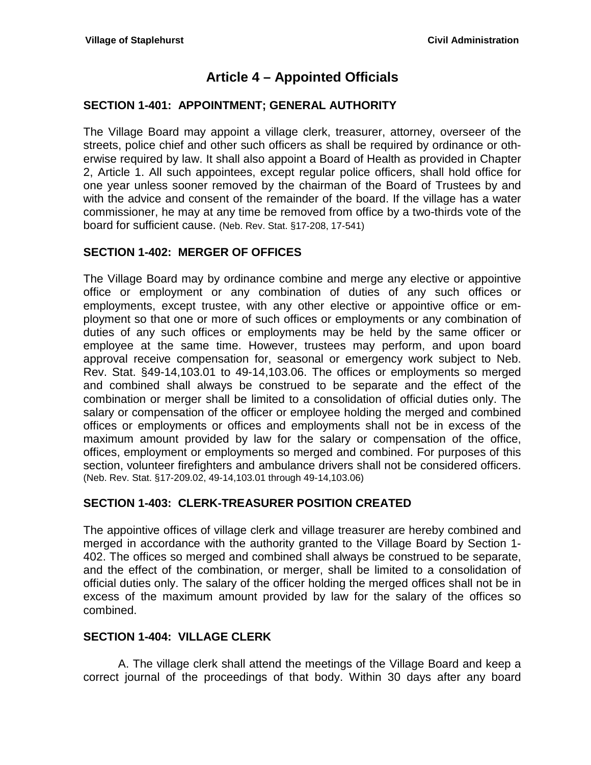# **Article 4 – Appointed Officials**

### <span id="page-24-1"></span><span id="page-24-0"></span>**SECTION 1-401: APPOINTMENT; GENERAL AUTHORITY**

The Village Board may appoint a village clerk, treasurer, attorney, overseer of the streets, police chief and other such officers as shall be required by ordinance or otherwise required by law. It shall also appoint a Board of Health as provided in Chapter 2, Article 1. All such appointees, except regular police officers, shall hold office for one year unless sooner removed by the chairman of the Board of Trustees by and with the advice and consent of the remainder of the board. If the village has a water commissioner, he may at any time be removed from office by a two-thirds vote of the board for sufficient cause. (Neb. Rev. Stat. §17-208, 17-541)

### <span id="page-24-2"></span>**SECTION 1-402: MERGER OF OFFICES**

The Village Board may by ordinance combine and merge any elective or appointive office or employment or any combination of duties of any such offices or employments, except trustee, with any other elective or appointive office or employment so that one or more of such offices or employments or any combination of duties of any such offices or employments may be held by the same officer or employee at the same time. However, trustees may perform, and upon board approval receive compensation for, seasonal or emergency work subject to Neb. Rev. Stat. §49-14,103.01 to 49-14,103.06. The offices or employments so merged and combined shall always be construed to be separate and the effect of the combination or merger shall be limited to a consolidation of official duties only. The salary or compensation of the officer or employee holding the merged and combined offices or employments or offices and employments shall not be in excess of the maximum amount provided by law for the salary or compensation of the office, offices, employment or employments so merged and combined. For purposes of this section, volunteer firefighters and ambulance drivers shall not be considered officers. (Neb. Rev. Stat. §17-209.02, 49-14,103.01 through 49-14,103.06)

### <span id="page-24-3"></span>**SECTION 1-403: CLERK-TREASURER POSITION CREATED**

The appointive offices of village clerk and village treasurer are hereby combined and merged in accordance with the authority granted to the Village Board by Section 1- 402. The offices so merged and combined shall always be construed to be separate, and the effect of the combination, or merger, shall be limited to a consolidation of official duties only. The salary of the officer holding the merged offices shall not be in excess of the maximum amount provided by law for the salary of the offices so combined.

#### <span id="page-24-4"></span>**SECTION 1-404: VILLAGE CLERK**

A. The village clerk shall attend the meetings of the Village Board and keep a correct journal of the proceedings of that body. Within 30 days after any board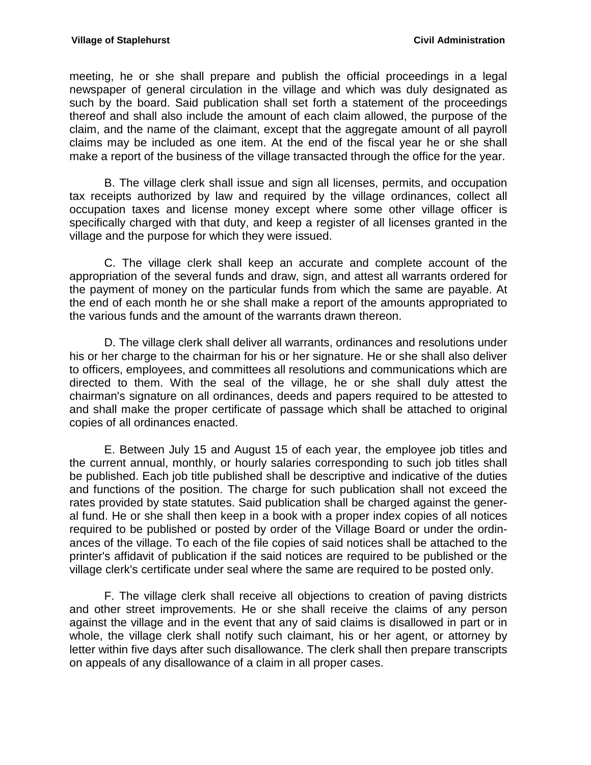meeting, he or she shall prepare and publish the official proceedings in a legal newspaper of general circulation in the village and which was duly designated as such by the board. Said publication shall set forth a statement of the proceedings thereof and shall also include the amount of each claim allowed, the purpose of the claim, and the name of the claimant, except that the aggregate amount of all payroll claims may be included as one item. At the end of the fiscal year he or she shall make a report of the business of the village transacted through the office for the year.

B. The village clerk shall issue and sign all licenses, permits, and occupation tax receipts authorized by law and required by the village ordinances, collect all occupation taxes and license money except where some other village officer is specifically charged with that duty, and keep a register of all licenses granted in the village and the purpose for which they were issued.

C. The village clerk shall keep an accurate and complete account of the appropriation of the several funds and draw, sign, and attest all warrants ordered for the payment of money on the particular funds from which the same are payable. At the end of each month he or she shall make a report of the amounts appropriated to the various funds and the amount of the warrants drawn thereon.

D. The village clerk shall deliver all warrants, ordinances and resolutions under his or her charge to the chairman for his or her signature. He or she shall also deliver to officers, employees, and committees all resolutions and communications which are directed to them. With the seal of the village, he or she shall duly attest the chairman's signature on all ordinances, deeds and papers required to be attested to and shall make the proper certificate of passage which shall be attached to original copies of all ordinances enacted.

E. Between July 15 and August 15 of each year, the employee job titles and the current annual, monthly, or hourly salaries corresponding to such job titles shall be published. Each job title published shall be descriptive and indicative of the duties and functions of the position. The charge for such publication shall not exceed the rates provided by state statutes. Said publication shall be charged against the general fund. He or she shall then keep in a book with a proper index copies of all notices required to be published or posted by order of the Village Board or under the ordinances of the village. To each of the file copies of said notices shall be attached to the printer's affidavit of publication if the said notices are required to be published or the village clerk's certificate under seal where the same are required to be posted only.

F. The village clerk shall receive all objections to creation of paving districts and other street improvements. He or she shall receive the claims of any person against the village and in the event that any of said claims is disallowed in part or in whole, the village clerk shall notify such claimant, his or her agent, or attorney by letter within five days after such disallowance. The clerk shall then prepare transcripts on appeals of any disallowance of a claim in all proper cases.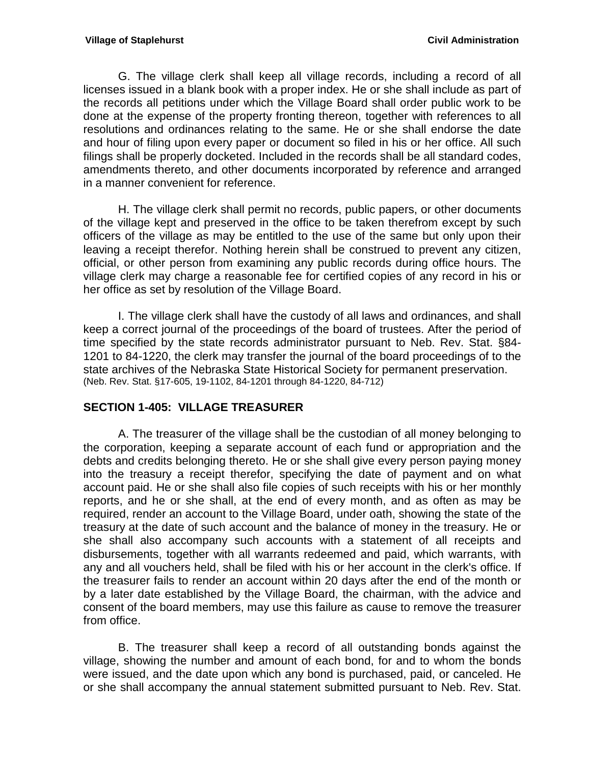G. The village clerk shall keep all village records, including a record of all licenses issued in a blank book with a proper index. He or she shall include as part of the records all petitions under which the Village Board shall order public work to be done at the expense of the property fronting thereon, together with references to all resolutions and ordinances relating to the same. He or she shall endorse the date and hour of filing upon every paper or document so filed in his or her office. All such filings shall be properly docketed. Included in the records shall be all standard codes, amendments thereto, and other documents incorporated by reference and arranged in a manner convenient for reference.

H. The village clerk shall permit no records, public papers, or other documents of the village kept and preserved in the office to be taken therefrom except by such officers of the village as may be entitled to the use of the same but only upon their leaving a receipt therefor. Nothing herein shall be construed to prevent any citizen, official, or other person from examining any public records during office hours. The village clerk may charge a reasonable fee for certified copies of any record in his or her office as set by resolution of the Village Board.

I. The village clerk shall have the custody of all laws and ordinances, and shall keep a correct journal of the proceedings of the board of trustees. After the period of time specified by the state records administrator pursuant to Neb. Rev. Stat. §84- 1201 to 84-1220, the clerk may transfer the journal of the board proceedings of to the state archives of the Nebraska State Historical Society for permanent preservation. (Neb. Rev. Stat. §17-605, 19-1102, 84-1201 through 84-1220, 84-712)

### <span id="page-26-0"></span>**SECTION 1-405: VILLAGE TREASURER**

A. The treasurer of the village shall be the custodian of all money belonging to the corporation, keeping a separate account of each fund or appropriation and the debts and credits belonging thereto. He or she shall give every person paying money into the treasury a receipt therefor, specifying the date of payment and on what account paid. He or she shall also file copies of such receipts with his or her monthly reports, and he or she shall, at the end of every month, and as often as may be required, render an account to the Village Board, under oath, showing the state of the treasury at the date of such account and the balance of money in the treasury. He or she shall also accompany such accounts with a statement of all receipts and disbursements, together with all warrants redeemed and paid, which warrants, with any and all vouchers held, shall be filed with his or her account in the clerk's office. If the treasurer fails to render an account within 20 days after the end of the month or by a later date established by the Village Board, the chairman, with the advice and consent of the board members, may use this failure as cause to remove the treasurer from office.

B. The treasurer shall keep a record of all outstanding bonds against the village, showing the number and amount of each bond, for and to whom the bonds were issued, and the date upon which any bond is purchased, paid, or canceled. He or she shall accompany the annual statement submitted pursuant to Neb. Rev. Stat.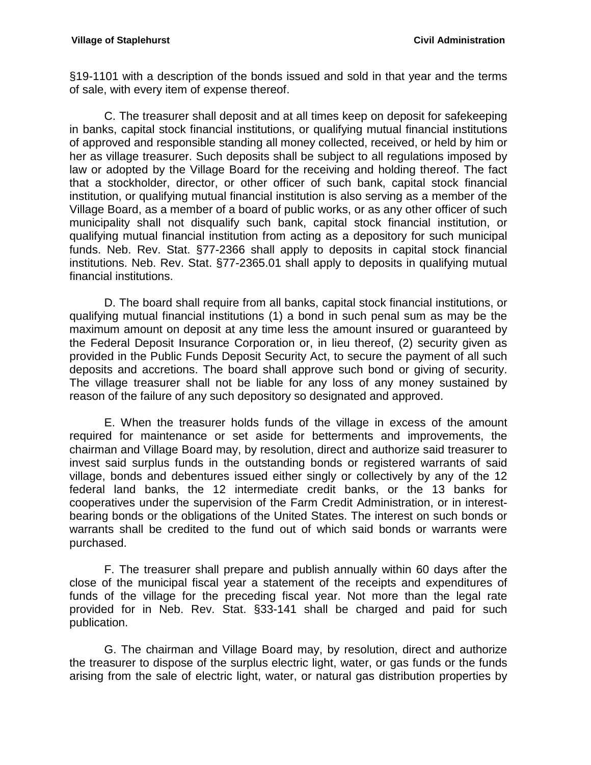[§19-1101](http://www.casemakerlegal.com/bDocView.aspx?categoryAlias=STATUTES&state=NE&strdataType=STAT&catCalled=Statutes&statecd=NE&codesec=19-1101&sessionyr=2013&Title=19&datatype=S&noheader=0&nojumpmsg=0) with a description of the bonds issued and sold in that year and the terms of sale, with every item of expense thereof.

C. The treasurer shall deposit and at all times keep on deposit for safekeeping in banks, capital stock financial institutions, or qualifying mutual financial institutions of approved and responsible standing all money collected, received, or held by him or her as village treasurer. Such deposits shall be subject to all regulations imposed by law or adopted by the Village Board for the receiving and holding thereof. The fact that a stockholder, director, or other officer of such bank, capital stock financial institution, or qualifying mutual financial institution is also serving as a member of the Village Board, as a member of a board of public works, or as any other officer of such municipality shall not disqualify such bank, capital stock financial institution, or qualifying mutual financial institution from acting as a depository for such municipal funds. Neb. Rev. Stat. [§77-2366](http://www.casemakerlegal.com/bDocView.aspx?catCalled=Statutes&categoryAlias=STATUTES&state=Nebraska&statecd=NE&codesec=77-2366&sessionyr=2013&Title=77&datatype=S&noheader=0&nojumpmsg=0) shall apply to deposits in capital stock financial institutions. Neb. Rev. Stat. [§77-2365.01](http://www.casemakerlegal.com/bDocView.aspx?catCalled=Statutes&categoryAlias=STATUTES&state=Nebraska&statecd=NE&codesec=77-2365.01&sessionyr=2013&Title=77&datatype=S&noheader=0&nojumpmsg=0) shall apply to deposits in qualifying mutual financial institutions.

D. The board shall require from all banks, capital stock financial institutions, or qualifying mutual financial institutions (1) a bond in such penal sum as may be the maximum amount on deposit at any time less the amount insured or guaranteed by the Federal Deposit Insurance Corporation or, in lieu thereof, (2) security given as provided in the Public Funds Deposit Security Act, to secure the payment of all such deposits and accretions. The board shall approve such bond or giving of security. The village treasurer shall not be liable for any loss of any money sustained by reason of the failure of any such depository so designated and approved.

E. When the treasurer holds funds of the village in excess of the amount required for maintenance or set aside for betterments and improvements, the chairman and Village Board may, by resolution, direct and authorize said treasurer to invest said surplus funds in the outstanding bonds or registered warrants of said village, bonds and debentures issued either singly or collectively by any of the 12 federal land banks, the 12 intermediate credit banks, or the 13 banks for cooperatives under the supervision of the Farm Credit Administration, or in interestbearing bonds or the obligations of the United States. The interest on such bonds or warrants shall be credited to the fund out of which said bonds or warrants were purchased.

F. The treasurer shall prepare and publish annually within 60 days after the close of the municipal fiscal year a statement of the receipts and expenditures of funds of the village for the preceding fiscal year. Not more than the legal rate provided for in Neb. Rev. Stat. [§33-141](http://www.casemakerlegal.com/bDocView.aspx?categoryAlias=STATUTES&state=NE&strdataType=STAT&catCalled=Statutes&statecd=NE&codesec=33-141&sessionyr=2013&Title=33&datatype=S&noheader=0&nojumpmsg=0) shall be charged and paid for such publication.

G. The chairman and Village Board may, by resolution, direct and authorize the treasurer to dispose of the surplus electric light, water, or gas funds or the funds arising from the sale of electric light, water, or natural gas distribution properties by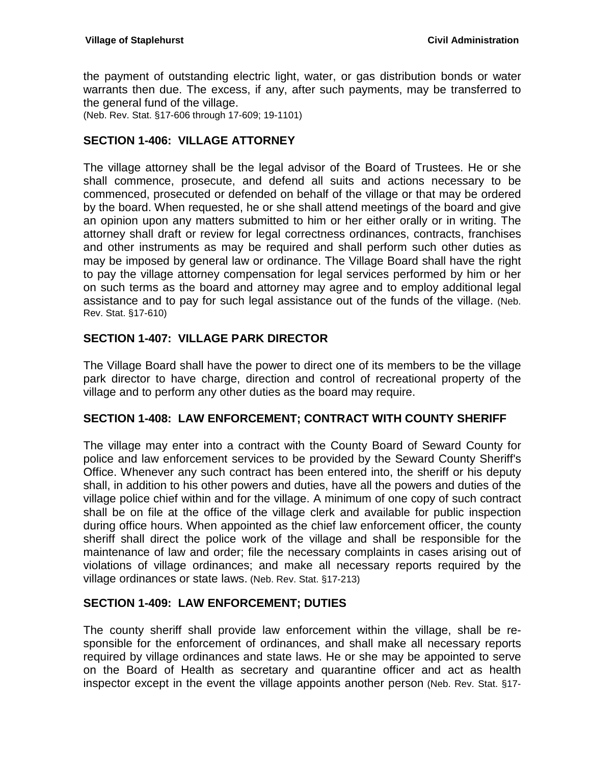the payment of outstanding electric light, water, or gas distribution bonds or water warrants then due. The excess, if any, after such payments, may be transferred to the general fund of the village.

(Neb. Rev. Stat. §17-606 through 17-609; 19-1101)

### <span id="page-28-0"></span>**SECTION 1-406: VILLAGE ATTORNEY**

The village attorney shall be the legal advisor of the Board of Trustees. He or she shall commence, prosecute, and defend all suits and actions necessary to be commenced, prosecuted or defended on behalf of the village or that may be ordered by the board. When requested, he or she shall attend meetings of the board and give an opinion upon any matters submitted to him or her either orally or in writing. The attorney shall draft or review for legal correctness ordinances, contracts, franchises and other instruments as may be required and shall perform such other duties as may be imposed by general law or ordinance. The Village Board shall have the right to pay the village attorney compensation for legal services performed by him or her on such terms as the board and attorney may agree and to employ additional legal assistance and to pay for such legal assistance out of the funds of the village. (Neb. Rev. Stat. §17-610)

### <span id="page-28-1"></span>**SECTION 1-407: VILLAGE PARK DIRECTOR**

The Village Board shall have the power to direct one of its members to be the village park director to have charge, direction and control of recreational property of the village and to perform any other duties as the board may require.

#### <span id="page-28-2"></span>**SECTION 1-408: LAW ENFORCEMENT; CONTRACT WITH COUNTY SHERIFF**

The village may enter into a contract with the County Board of Seward County for police and law enforcement services to be provided by the Seward County Sheriff's Office. Whenever any such contract has been entered into, the sheriff or his deputy shall, in addition to his other powers and duties, have all the powers and duties of the village police chief within and for the village. A minimum of one copy of such contract shall be on file at the office of the village clerk and available for public inspection during office hours. When appointed as the chief law enforcement officer, the county sheriff shall direct the police work of the village and shall be responsible for the maintenance of law and order; file the necessary complaints in cases arising out of violations of village ordinances; and make all necessary reports required by the village ordinances or state laws. (Neb. Rev. Stat. §17-213)

#### <span id="page-28-3"></span>**SECTION 1-409: LAW ENFORCEMENT; DUTIES**

The county sheriff shall provide law enforcement within the village, shall be responsible for the enforcement of ordinances, and shall make all necessary reports required by village ordinances and state laws. He or she may be appointed to serve on the Board of Health as secretary and quarantine officer and act as health inspector except in the event the village appoints another person (Neb. Rev. Stat. §17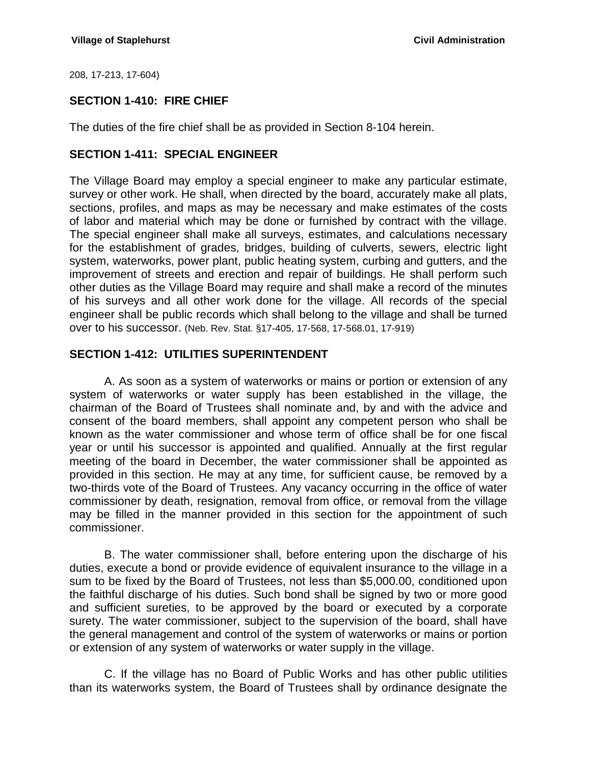208, 17-213, 17-604)

### <span id="page-29-0"></span>**SECTION 1-410: FIRE CHIEF**

The duties of the fire chief shall be as provided in Section 8-104 herein.

#### <span id="page-29-1"></span>**SECTION 1-411: SPECIAL ENGINEER**

The Village Board may employ a special engineer to make any particular estimate, survey or other work. He shall, when directed by the board, accurately make all plats, sections, profiles, and maps as may be necessary and make estimates of the costs of labor and material which may be done or furnished by contract with the village. The special engineer shall make all surveys, estimates, and calculations necessary for the establishment of grades, bridges, building of culverts, sewers, electric light system, waterworks, power plant, public heating system, curbing and gutters, and the improvement of streets and erection and repair of buildings. He shall perform such other duties as the Village Board may require and shall make a record of the minutes of his surveys and all other work done for the village. All records of the special engineer shall be public records which shall belong to the village and shall be turned over to his successor. (Neb. Rev. Stat. §17-405, 17-568, 17-568.01, 17-919)

### <span id="page-29-2"></span>**SECTION 1-412: UTILITIES SUPERINTENDENT**

A. As soon as a system of waterworks or mains or portion or extension of any system of waterworks or water supply has been established in the village, the chairman of the Board of Trustees shall nominate and, by and with the advice and consent of the board members, shall appoint any competent person who shall be known as the water commissioner and whose term of office shall be for one fiscal year or until his successor is appointed and qualified. Annually at the first regular meeting of the board in December, the water commissioner shall be appointed as provided in this section. He may at any time, for sufficient cause, be removed by a two-thirds vote of the Board of Trustees. Any vacancy occurring in the office of water commissioner by death, resignation, removal from office, or removal from the village may be filled in the manner provided in this section for the appointment of such commissioner.

B. The water commissioner shall, before entering upon the discharge of his duties, execute a bond or provide evidence of equivalent insurance to the village in a sum to be fixed by the Board of Trustees, not less than \$5,000.00, conditioned upon the faithful discharge of his duties. Such bond shall be signed by two or more good and sufficient sureties, to be approved by the board or executed by a corporate surety. The water commissioner, subject to the supervision of the board, shall have the general management and control of the system of waterworks or mains or portion or extension of any system of waterworks or water supply in the village.

C. If the village has no Board of Public Works and has other public utilities than its waterworks system, the Board of Trustees shall by ordinance designate the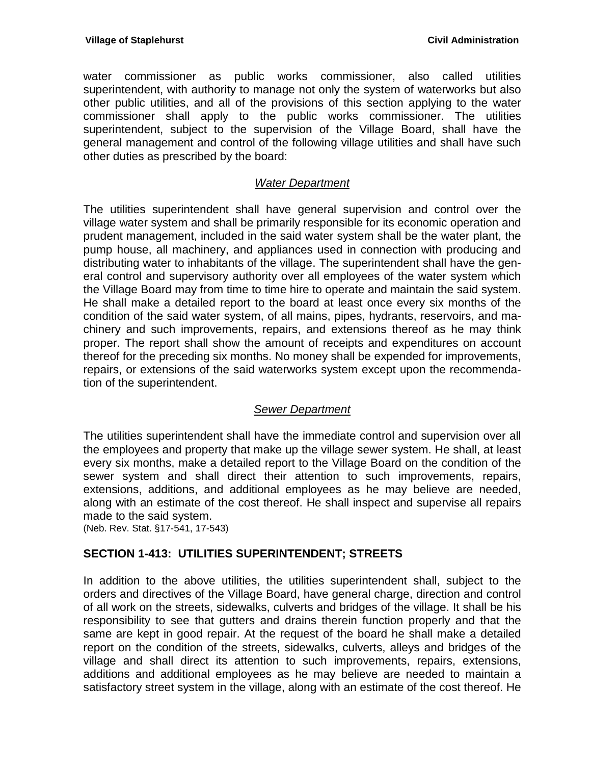water commissioner as public works commissioner, also called utilities superintendent, with authority to manage not only the system of waterworks but also other public utilities, and all of the provisions of this section applying to the water commissioner shall apply to the public works commissioner. The utilities superintendent, subject to the supervision of the Village Board, shall have the general management and control of the following village utilities and shall have such other duties as prescribed by the board:

### *Water Department*

The utilities superintendent shall have general supervision and control over the village water system and shall be primarily responsible for its economic operation and prudent management, included in the said water system shall be the water plant, the pump house, all machinery, and appliances used in connection with producing and distributing water to inhabitants of the village. The superintendent shall have the general control and supervisory authority over all employees of the water system which the Village Board may from time to time hire to operate and maintain the said system. He shall make a detailed report to the board at least once every six months of the condition of the said water system, of all mains, pipes, hydrants, reservoirs, and machinery and such improvements, repairs, and extensions thereof as he may think proper. The report shall show the amount of receipts and expenditures on account thereof for the preceding six months. No money shall be expended for improvements, repairs, or extensions of the said waterworks system except upon the recommendation of the superintendent.

### *Sewer Department*

The utilities superintendent shall have the immediate control and supervision over all the employees and property that make up the village sewer system. He shall, at least every six months, make a detailed report to the Village Board on the condition of the sewer system and shall direct their attention to such improvements, repairs, extensions, additions, and additional employees as he may believe are needed, along with an estimate of the cost thereof. He shall inspect and supervise all repairs made to the said system.

(Neb. Rev. Stat. §17-541, 17-543)

### <span id="page-30-0"></span>**SECTION 1-413: UTILITIES SUPERINTENDENT; STREETS**

In addition to the above utilities, the utilities superintendent shall, subject to the orders and directives of the Village Board, have general charge, direction and control of all work on the streets, sidewalks, culverts and bridges of the village. It shall be his responsibility to see that gutters and drains therein function properly and that the same are kept in good repair. At the request of the board he shall make a detailed report on the condition of the streets, sidewalks, culverts, alleys and bridges of the village and shall direct its attention to such improvements, repairs, extensions, additions and additional employees as he may believe are needed to maintain a satisfactory street system in the village, along with an estimate of the cost thereof. He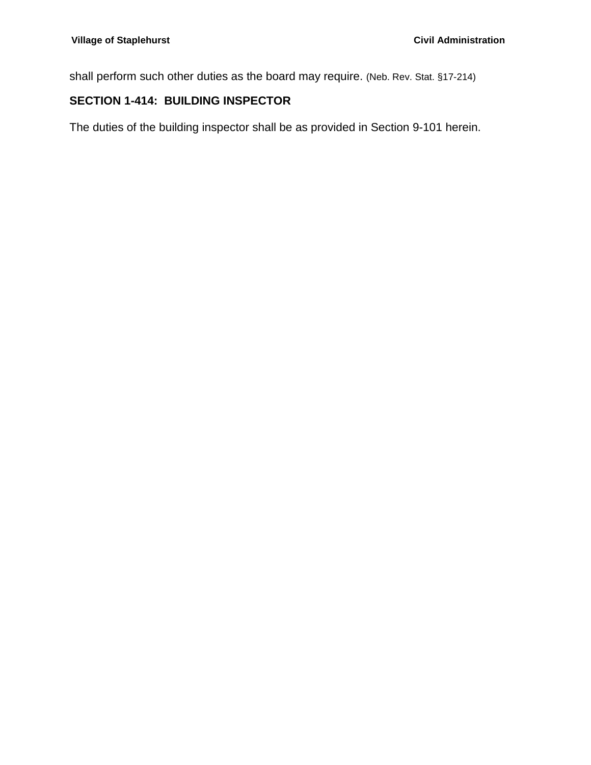shall perform such other duties as the board may require. (Neb. Rev. Stat. §17-214)

## <span id="page-31-0"></span>**SECTION 1-414: BUILDING INSPECTOR**

The duties of the building inspector shall be as provided in Section 9-101 herein.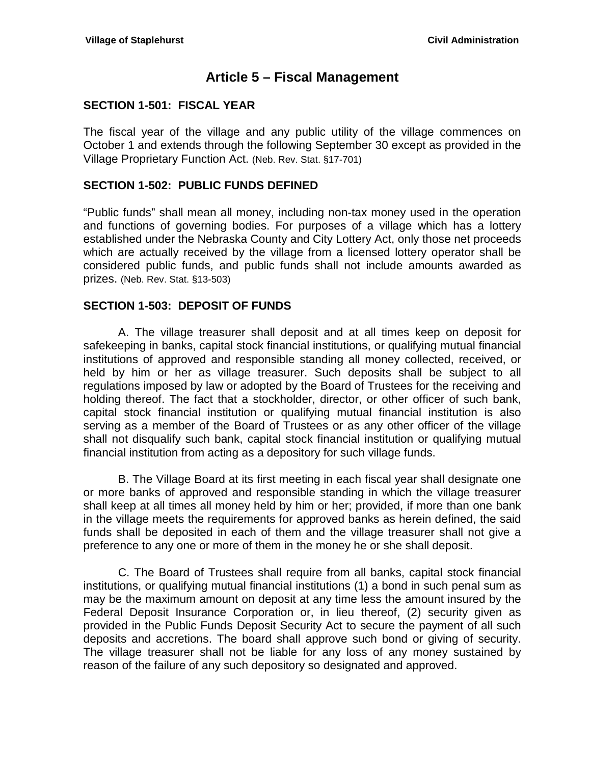## **Article 5 – Fiscal Management**

### <span id="page-32-1"></span><span id="page-32-0"></span>**SECTION 1-501: FISCAL YEAR**

The fiscal year of the village and any public utility of the village commences on October 1 and extends through the following September 30 except as provided in the Village Proprietary Function Act. (Neb. Rev. Stat. §17-701)

### <span id="page-32-2"></span>**SECTION 1-502: PUBLIC FUNDS DEFINED**

"Public funds" shall mean all money, including non-tax money used in the operation and functions of governing bodies. For purposes of a village which has a lottery established under the Nebraska County and City Lottery Act, only those net proceeds which are actually received by the village from a licensed lottery operator shall be considered public funds, and public funds shall not include amounts awarded as prizes. (Neb. Rev. Stat. §13-503)

#### <span id="page-32-3"></span>**SECTION 1-503: DEPOSIT OF FUNDS**

A. The village treasurer shall deposit and at all times keep on deposit for safekeeping in banks, capital stock financial institutions, or qualifying mutual financial institutions of approved and responsible standing all money collected, received, or held by him or her as village treasurer. Such deposits shall be subject to all regulations imposed by law or adopted by the Board of Trustees for the receiving and holding thereof. The fact that a stockholder, director, or other officer of such bank, capital stock financial institution or qualifying mutual financial institution is also serving as a member of the Board of Trustees or as any other officer of the village shall not disqualify such bank, capital stock financial institution or qualifying mutual financial institution from acting as a depository for such village funds.

B. The Village Board at its first meeting in each fiscal year shall designate one or more banks of approved and responsible standing in which the village treasurer shall keep at all times all money held by him or her; provided, if more than one bank in the village meets the requirements for approved banks as herein defined, the said funds shall be deposited in each of them and the village treasurer shall not give a preference to any one or more of them in the money he or she shall deposit.

C. The Board of Trustees shall require from all banks, capital stock financial institutions, or qualifying mutual financial institutions (1) a bond in such penal sum as may be the maximum amount on deposit at any time less the amount insured by the Federal Deposit Insurance Corporation or, in lieu thereof, (2) security given as provided in the Public Funds Deposit Security Act to secure the payment of all such deposits and accretions. The board shall approve such bond or giving of security. The village treasurer shall not be liable for any loss of any money sustained by reason of the failure of any such depository so designated and approved.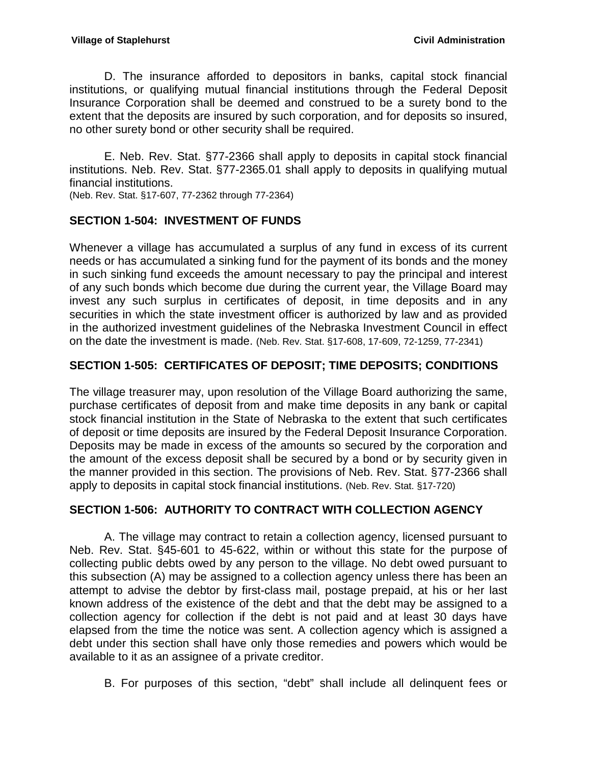D. The insurance afforded to depositors in banks, capital stock financial institutions, or qualifying mutual financial institutions through the Federal Deposit Insurance Corporation shall be deemed and construed to be a surety bond to the extent that the deposits are insured by such corporation, and for deposits so insured, no other surety bond or other security shall be required.

E. Neb. Rev. Stat. §77-2366 shall apply to deposits in capital stock financial institutions. Neb. Rev. Stat. §77-2365.01 shall apply to deposits in qualifying mutual financial institutions.

(Neb. Rev. Stat. §17-607, 77-2362 through 77-2364)

## <span id="page-33-0"></span>**SECTION 1-504: INVESTMENT OF FUNDS**

Whenever a village has accumulated a surplus of any fund in excess of its current needs or has accumulated a sinking fund for the payment of its bonds and the money in such sinking fund exceeds the amount necessary to pay the principal and interest of any such bonds which become due during the current year, the Village Board may invest any such surplus in certificates of deposit, in time deposits and in any securities in which the state investment officer is authorized by law and as provided in the authorized investment guidelines of the Nebraska Investment Council in effect on the date the investment is made. (Neb. Rev. Stat. §17-608, 17-609, 72-1259, 77-2341)

## <span id="page-33-1"></span>**SECTION 1-505: CERTIFICATES OF DEPOSIT; TIME DEPOSITS; CONDITIONS**

The village treasurer may, upon resolution of the Village Board authorizing the same, purchase certificates of deposit from and make time deposits in any bank or capital stock financial institution in the State of Nebraska to the extent that such certificates of deposit or time deposits are insured by the Federal Deposit Insurance Corporation. Deposits may be made in excess of the amounts so secured by the corporation and the amount of the excess deposit shall be secured by a bond or by security given in the manner provided in this section. The provisions of Neb. Rev. Stat. §77-2366 shall apply to deposits in capital stock financial institutions. (Neb. Rev. Stat. §17-720)

### <span id="page-33-2"></span>**SECTION 1-506: AUTHORITY TO CONTRACT WITH COLLECTION AGENCY**

A. The village may contract to retain a collection agency, licensed pursuant to Neb. Rev. Stat. §45-601 to 45-622, within or without this state for the purpose of collecting public debts owed by any person to the village. No debt owed pursuant to this subsection (A) may be assigned to a collection agency unless there has been an attempt to advise the debtor by first-class mail, postage prepaid, at his or her last known address of the existence of the debt and that the debt may be assigned to a collection agency for collection if the debt is not paid and at least 30 days have elapsed from the time the notice was sent. A collection agency which is assigned a debt under this section shall have only those remedies and powers which would be available to it as an assignee of a private creditor.

B. For purposes of this section, "debt" shall include all delinquent fees or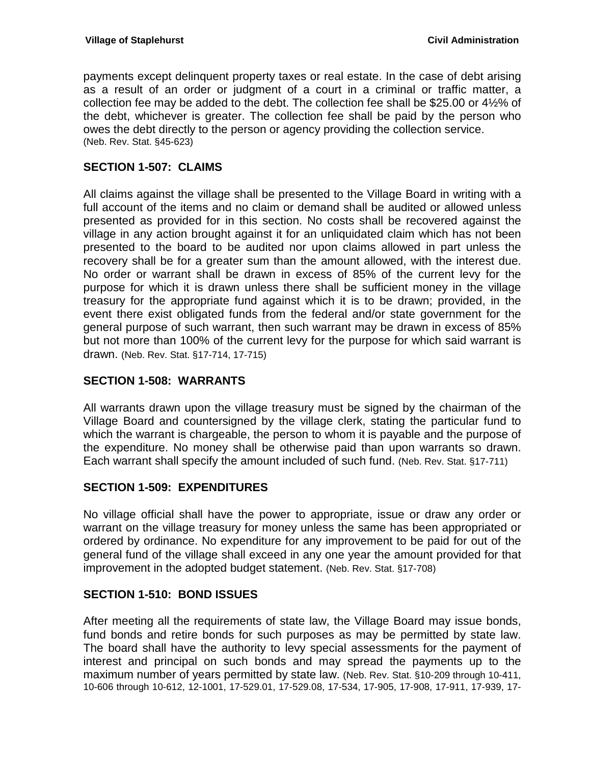payments except delinquent property taxes or real estate. In the case of debt arising as a result of an order or judgment of a court in a criminal or traffic matter, a collection fee may be added to the debt. The collection fee shall be \$25.00 or 4½% of the debt, whichever is greater. The collection fee shall be paid by the person who owes the debt directly to the person or agency providing the collection service. (Neb. Rev. Stat. §45-623)

### <span id="page-34-0"></span>**SECTION 1-507: CLAIMS**

All claims against the village shall be presented to the Village Board in writing with a full account of the items and no claim or demand shall be audited or allowed unless presented as provided for in this section. No costs shall be recovered against the village in any action brought against it for an unliquidated claim which has not been presented to the board to be audited nor upon claims allowed in part unless the recovery shall be for a greater sum than the amount allowed, with the interest due. No order or warrant shall be drawn in excess of 85% of the current levy for the purpose for which it is drawn unless there shall be sufficient money in the village treasury for the appropriate fund against which it is to be drawn; provided, in the event there exist obligated funds from the federal and/or state government for the general purpose of such warrant, then such warrant may be drawn in excess of 85% but not more than 100% of the current levy for the purpose for which said warrant is drawn. (Neb. Rev. Stat. §17-714, 17-715)

### <span id="page-34-1"></span>**SECTION 1-508: WARRANTS**

All warrants drawn upon the village treasury must be signed by the chairman of the Village Board and countersigned by the village clerk, stating the particular fund to which the warrant is chargeable, the person to whom it is payable and the purpose of the expenditure. No money shall be otherwise paid than upon warrants so drawn. Each warrant shall specify the amount included of such fund. (Neb. Rev. Stat. §17-711)

#### <span id="page-34-2"></span>**SECTION 1-509: EXPENDITURES**

No village official shall have the power to appropriate, issue or draw any order or warrant on the village treasury for money unless the same has been appropriated or ordered by ordinance. No expenditure for any improvement to be paid for out of the general fund of the village shall exceed in any one year the amount provided for that improvement in the adopted budget statement. (Neb. Rev. Stat. §17-708)

#### <span id="page-34-3"></span>**SECTION 1-510: BOND ISSUES**

After meeting all the requirements of state law, the Village Board may issue bonds, fund bonds and retire bonds for such purposes as may be permitted by state law. The board shall have the authority to levy special assessments for the payment of interest and principal on such bonds and may spread the payments up to the maximum number of years permitted by state law. (Neb. Rev. Stat. §10-209 through 10-411, 10-606 through 10-612, 12-1001, 17-529.01, 17-529.08, 17-534, 17-905, 17-908, 17-911, 17-939, 17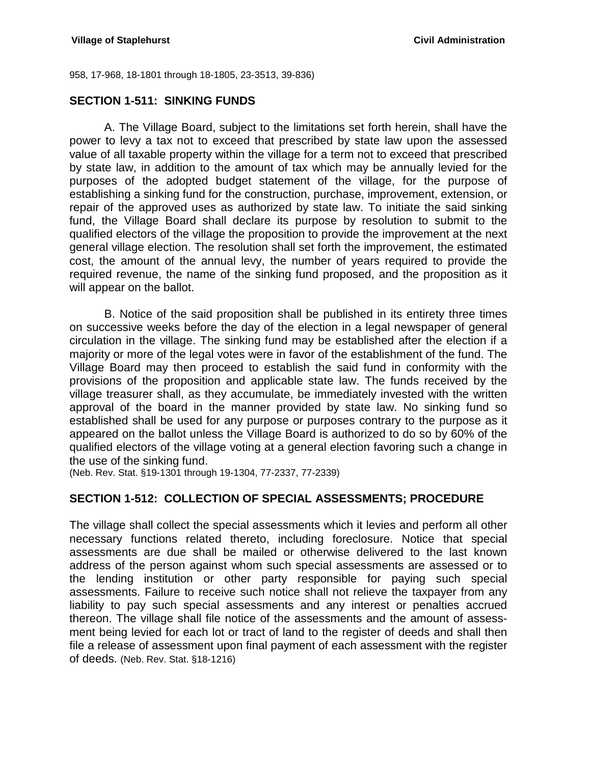958, 17-968, 18-1801 through 18-1805, 23-3513, 39-836)

#### <span id="page-35-0"></span>**SECTION 1-511: SINKING FUNDS**

A. The Village Board, subject to the limitations set forth herein, shall have the power to levy a tax not to exceed that prescribed by state law upon the assessed value of all taxable property within the village for a term not to exceed that prescribed by state law, in addition to the amount of tax which may be annually levied for the purposes of the adopted budget statement of the village, for the purpose of establishing a sinking fund for the construction, purchase, improvement, extension, or repair of the approved uses as authorized by state law. To initiate the said sinking fund, the Village Board shall declare its purpose by resolution to submit to the qualified electors of the village the proposition to provide the improvement at the next general village election. The resolution shall set forth the improvement, the estimated cost, the amount of the annual levy, the number of years required to provide the required revenue, the name of the sinking fund proposed, and the proposition as it will appear on the ballot.

B. Notice of the said proposition shall be published in its entirety three times on successive weeks before the day of the election in a legal newspaper of general circulation in the village. The sinking fund may be established after the election if a majority or more of the legal votes were in favor of the establishment of the fund. The Village Board may then proceed to establish the said fund in conformity with the provisions of the proposition and applicable state law. The funds received by the village treasurer shall, as they accumulate, be immediately invested with the written approval of the board in the manner provided by state law. No sinking fund so established shall be used for any purpose or purposes contrary to the purpose as it appeared on the ballot unless the Village Board is authorized to do so by 60% of the qualified electors of the village voting at a general election favoring such a change in the use of the sinking fund.

(Neb. Rev. Stat. §19-1301 through 19-1304, 77-2337, 77-2339)

### <span id="page-35-1"></span>**SECTION 1-512: COLLECTION OF SPECIAL ASSESSMENTS; PROCEDURE**

The village shall collect the special assessments which it levies and perform all other necessary functions related thereto, including foreclosure. Notice that special assessments are due shall be mailed or otherwise delivered to the last known address of the person against whom such special assessments are assessed or to the lending institution or other party responsible for paying such special assessments. Failure to receive such notice shall not relieve the taxpayer from any liability to pay such special assessments and any interest or penalties accrued thereon. The village shall file notice of the assessments and the amount of assessment being levied for each lot or tract of land to the register of deeds and shall then file a release of assessment upon final payment of each assessment with the register of deeds. (Neb. Rev. Stat. §18-1216)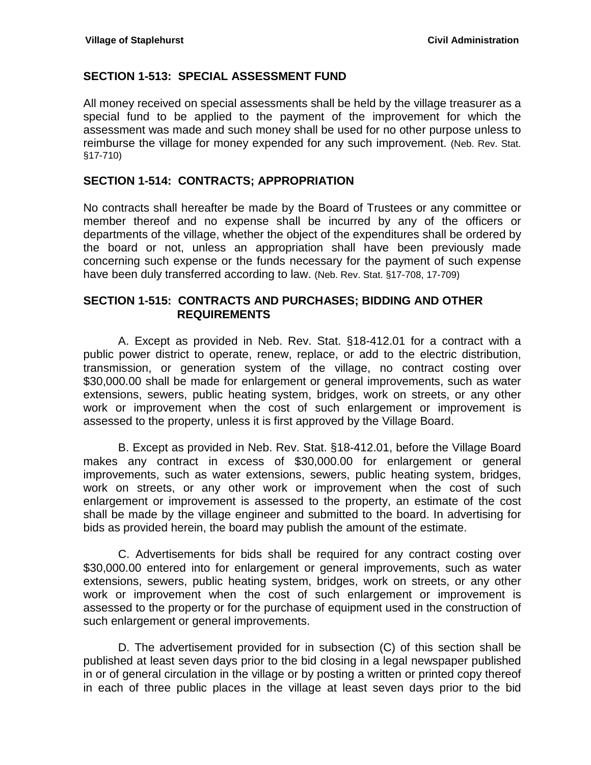#### <span id="page-36-0"></span>**SECTION 1-513: SPECIAL ASSESSMENT FUND**

All money received on special assessments shall be held by the village treasurer as a special fund to be applied to the payment of the improvement for which the assessment was made and such money shall be used for no other purpose unless to reimburse the village for money expended for any such improvement. (Neb. Rev. Stat. §17-710)

### <span id="page-36-1"></span>**SECTION 1-514: CONTRACTS; APPROPRIATION**

No contracts shall hereafter be made by the Board of Trustees or any committee or member thereof and no expense shall be incurred by any of the officers or departments of the village, whether the object of the expenditures shall be ordered by the board or not, unless an appropriation shall have been previously made concerning such expense or the funds necessary for the payment of such expense have been duly transferred according to law. (Neb. Rev. Stat. §17-708, 17-709)

#### <span id="page-36-2"></span>**SECTION 1-515: CONTRACTS AND PURCHASES; BIDDING AND OTHER REQUIREMENTS**

A. Except as provided in Neb. Rev. Stat. §18-412.01 for a contract with a public power district to operate, renew, replace, or add to the electric distribution, transmission, or generation system of the village, no contract costing over \$30,000.00 shall be made for enlargement or general improvements, such as water extensions, sewers, public heating system, bridges, work on streets, or any other work or improvement when the cost of such enlargement or improvement is assessed to the property, unless it is first approved by the Village Board.

B. Except as provided in Neb. Rev. Stat. §18-412.01, before the Village Board makes any contract in excess of \$30,000.00 for enlargement or general improvements, such as water extensions, sewers, public heating system, bridges, work on streets, or any other work or improvement when the cost of such enlargement or improvement is assessed to the property, an estimate of the cost shall be made by the village engineer and submitted to the board. In advertising for bids as provided herein, the board may publish the amount of the estimate.

C. Advertisements for bids shall be required for any contract costing over \$30,000.00 entered into for enlargement or general improvements, such as water extensions, sewers, public heating system, bridges, work on streets, or any other work or improvement when the cost of such enlargement or improvement is assessed to the property or for the purchase of equipment used in the construction of such enlargement or general improvements.

D. The advertisement provided for in subsection (C) of this section shall be published at least seven days prior to the bid closing in a legal newspaper published in or of general circulation in the village or by posting a written or printed copy thereof in each of three public places in the village at least seven days prior to the bid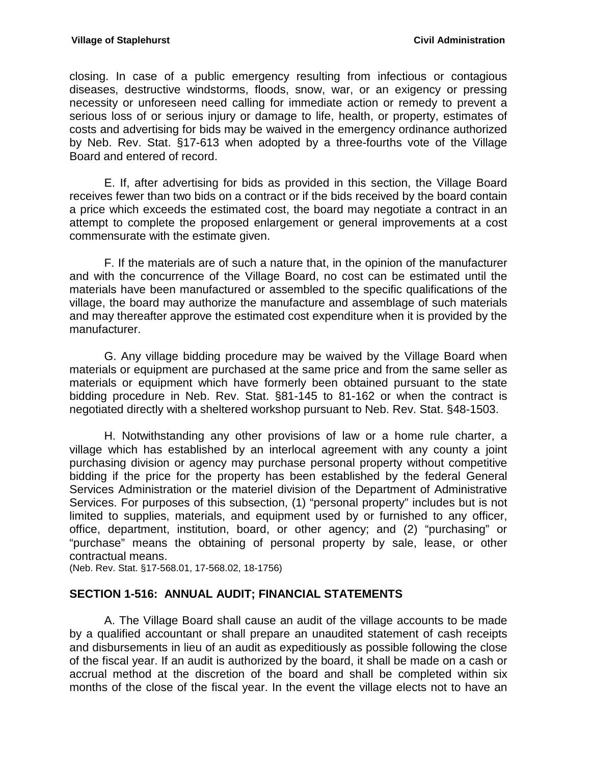closing. In case of a public emergency resulting from infectious or contagious diseases, destructive windstorms, floods, snow, war, or an exigency or pressing necessity or unforeseen need calling for immediate action or remedy to prevent a serious loss of or serious injury or damage to life, health, or property, estimates of costs and advertising for bids may be waived in the emergency ordinance authorized by Neb. Rev. Stat. §17-613 when adopted by a three-fourths vote of the Village Board and entered of record.

E. If, after advertising for bids as provided in this section, the Village Board receives fewer than two bids on a contract or if the bids received by the board contain a price which exceeds the estimated cost, the board may negotiate a contract in an attempt to complete the proposed enlargement or general improvements at a cost commensurate with the estimate given.

F. If the materials are of such a nature that, in the opinion of the manufacturer and with the concurrence of the Village Board, no cost can be estimated until the materials have been manufactured or assembled to the specific qualifications of the village, the board may authorize the manufacture and assemblage of such materials and may thereafter approve the estimated cost expenditure when it is provided by the manufacturer.

G. Any village bidding procedure may be waived by the Village Board when materials or equipment are purchased at the same price and from the same seller as materials or equipment which have formerly been obtained pursuant to the state bidding procedure in Neb. Rev. Stat. §81-145 to 81-162 or when the contract is negotiated directly with a sheltered workshop pursuant to Neb. Rev. Stat. §48-1503.

H. Notwithstanding any other provisions of law or a home rule charter, a village which has established by an interlocal agreement with any county a joint purchasing division or agency may purchase personal property without competitive bidding if the price for the property has been established by the federal General Services Administration or the materiel division of the Department of Administrative Services. For purposes of this subsection, (1) "personal property" includes but is not limited to supplies, materials, and equipment used by or furnished to any officer, office, department, institution, board, or other agency; and (2) "purchasing" or "purchase" means the obtaining of personal property by sale, lease, or other contractual means.

(Neb. Rev. Stat. §17-568.01, 17-568.02, 18-1756)

### <span id="page-37-0"></span>**SECTION 1-516: ANNUAL AUDIT; FINANCIAL STATEMENTS**

A. The Village Board shall cause an audit of the village accounts to be made by a qualified accountant or shall prepare an unaudited statement of cash receipts and disbursements in lieu of an audit as expeditiously as possible following the close of the fiscal year. If an audit is authorized by the board, it shall be made on a cash or accrual method at the discretion of the board and shall be completed within six months of the close of the fiscal year. In the event the village elects not to have an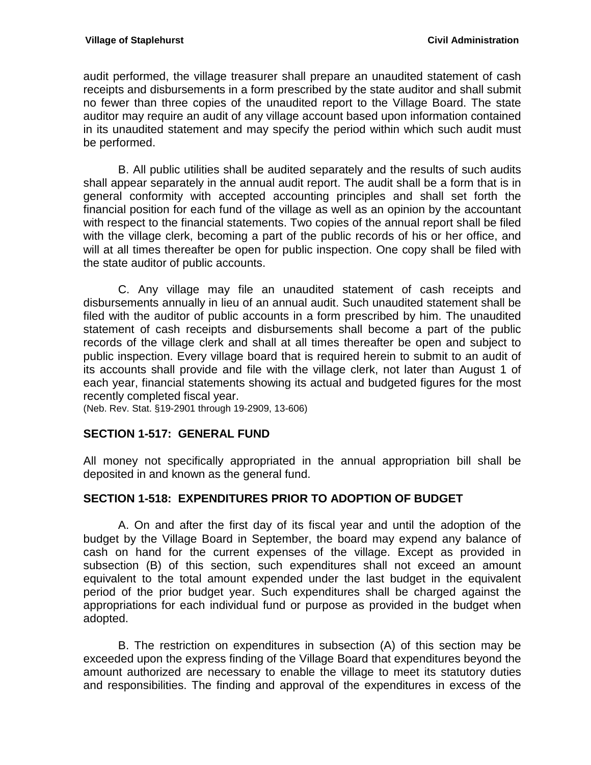audit performed, the village treasurer shall prepare an unaudited statement of cash receipts and disbursements in a form prescribed by the state auditor and shall submit no fewer than three copies of the unaudited report to the Village Board. The state auditor may require an audit of any village account based upon information contained in its unaudited statement and may specify the period within which such audit must be performed.

B. All public utilities shall be audited separately and the results of such audits shall appear separately in the annual audit report. The audit shall be a form that is in general conformity with accepted accounting principles and shall set forth the financial position for each fund of the village as well as an opinion by the accountant with respect to the financial statements. Two copies of the annual report shall be filed with the village clerk, becoming a part of the public records of his or her office, and will at all times thereafter be open for public inspection. One copy shall be filed with the state auditor of public accounts.

C. Any village may file an unaudited statement of cash receipts and disbursements annually in lieu of an annual audit. Such unaudited statement shall be filed with the auditor of public accounts in a form prescribed by him. The unaudited statement of cash receipts and disbursements shall become a part of the public records of the village clerk and shall at all times thereafter be open and subject to public inspection. Every village board that is required herein to submit to an audit of its accounts shall provide and file with the village clerk, not later than August 1 of each year, financial statements showing its actual and budgeted figures for the most recently completed fiscal year.

(Neb. Rev. Stat. §19-2901 through 19-2909, 13-606)

### <span id="page-38-0"></span>**SECTION 1-517: GENERAL FUND**

All money not specifically appropriated in the annual appropriation bill shall be deposited in and known as the general fund.

### <span id="page-38-1"></span>**SECTION 1-518: EXPENDITURES PRIOR TO ADOPTION OF BUDGET**

A. On and after the first day of its fiscal year and until the adoption of the budget by the Village Board in September, the board may expend any balance of cash on hand for the current expenses of the village. Except as provided in subsection (B) of this section, such expenditures shall not exceed an amount equivalent to the total amount expended under the last budget in the equivalent period of the prior budget year. Such expenditures shall be charged against the appropriations for each individual fund or purpose as provided in the budget when adopted.

B. The restriction on expenditures in subsection (A) of this section may be exceeded upon the express finding of the Village Board that expenditures beyond the amount authorized are necessary to enable the village to meet its statutory duties and responsibilities. The finding and approval of the expenditures in excess of the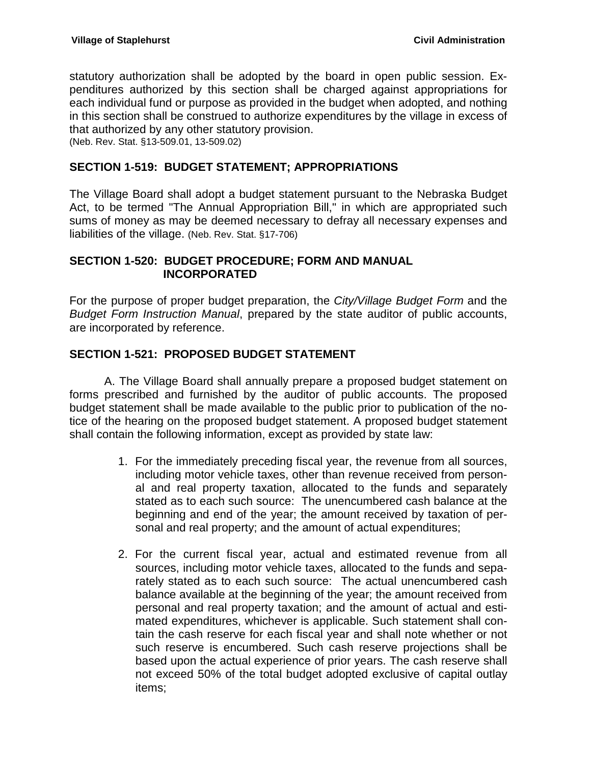statutory authorization shall be adopted by the board in open public session. Expenditures authorized by this section shall be charged against appropriations for each individual fund or purpose as provided in the budget when adopted, and nothing in this section shall be construed to authorize expenditures by the village in excess of that authorized by any other statutory provision. (Neb. Rev. Stat. §13-509.01, 13-509.02)

<span id="page-39-0"></span>**SECTION 1-519: BUDGET STATEMENT; APPROPRIATIONS**

The Village Board shall adopt a budget statement pursuant to the Nebraska Budget Act, to be termed "The Annual Appropriation Bill," in which are appropriated such sums of money as may be deemed necessary to defray all necessary expenses and liabilities of the village. (Neb. Rev. Stat. §17-706)

### <span id="page-39-1"></span>**SECTION 1-520: BUDGET PROCEDURE; FORM AND MANUAL INCORPORATED**

For the purpose of proper budget preparation, the *City/Village Budget Form* and the *Budget Form Instruction Manual*, prepared by the state auditor of public accounts, are incorporated by reference.

## <span id="page-39-2"></span>**SECTION 1-521: PROPOSED BUDGET STATEMENT**

A. The Village Board shall annually prepare a proposed budget statement on forms prescribed and furnished by the auditor of public accounts. The proposed budget statement shall be made available to the public prior to publication of the notice of the hearing on the proposed budget statement. A proposed budget statement shall contain the following information, except as provided by state law:

- 1. For the immediately preceding fiscal year, the revenue from all sources, including motor vehicle taxes, other than revenue received from personal and real property taxation, allocated to the funds and separately stated as to each such source: The unencumbered cash balance at the beginning and end of the year; the amount received by taxation of personal and real property; and the amount of actual expenditures;
- 2. For the current fiscal year, actual and estimated revenue from all sources, including motor vehicle taxes, allocated to the funds and separately stated as to each such source: The actual unencumbered cash balance available at the beginning of the year; the amount received from personal and real property taxation; and the amount of actual and estimated expenditures, whichever is applicable. Such statement shall contain the cash reserve for each fiscal year and shall note whether or not such reserve is encumbered. Such cash reserve projections shall be based upon the actual experience of prior years. The cash reserve shall not exceed 50% of the total budget adopted exclusive of capital outlay items;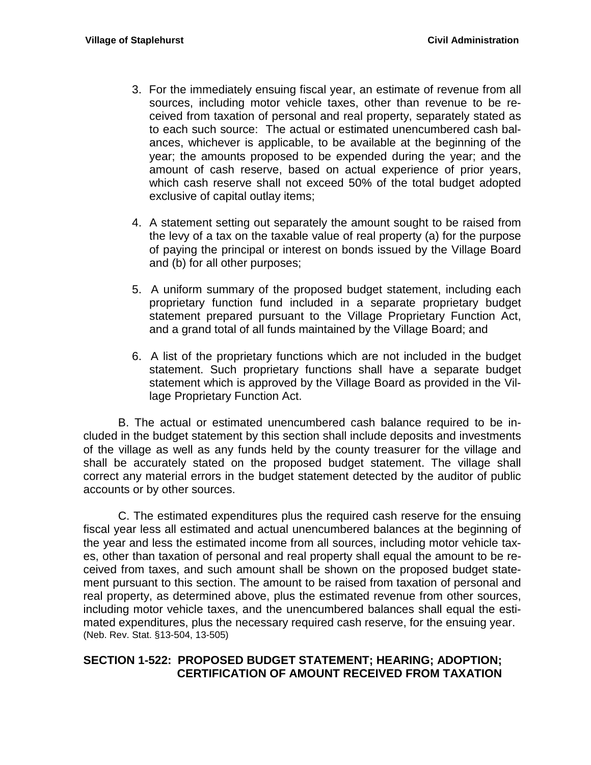- 3. For the immediately ensuing fiscal year, an estimate of revenue from all sources, including motor vehicle taxes, other than revenue to be received from taxation of personal and real property, separately stated as to each such source: The actual or estimated unencumbered cash balances, whichever is applicable, to be available at the beginning of the year; the amounts proposed to be expended during the year; and the amount of cash reserve, based on actual experience of prior years, which cash reserve shall not exceed 50% of the total budget adopted exclusive of capital outlay items;
- 4. A statement setting out separately the amount sought to be raised from the levy of a tax on the taxable value of real property (a) for the purpose of paying the principal or interest on bonds issued by the Village Board and (b) for all other purposes;
- 5. A uniform summary of the proposed budget statement, including each proprietary function fund included in a separate proprietary budget statement prepared pursuant to the Village Proprietary Function Act, and a grand total of all funds maintained by the Village Board; and
- 6. A list of the proprietary functions which are not included in the budget statement. Such proprietary functions shall have a separate budget statement which is approved by the Village Board as provided in the Village Proprietary Function Act.

B. The actual or estimated unencumbered cash balance required to be included in the budget statement by this section shall include deposits and investments of the village as well as any funds held by the county treasurer for the village and shall be accurately stated on the proposed budget statement. The village shall correct any material errors in the budget statement detected by the auditor of public accounts or by other sources.

C. The estimated expenditures plus the required cash reserve for the ensuing fiscal year less all estimated and actual unencumbered balances at the beginning of the year and less the estimated income from all sources, including motor vehicle taxes, other than taxation of personal and real property shall equal the amount to be received from taxes, and such amount shall be shown on the proposed budget statement pursuant to this section. The amount to be raised from taxation of personal and real property, as determined above, plus the estimated revenue from other sources, including motor vehicle taxes, and the unencumbered balances shall equal the estimated expenditures, plus the necessary required cash reserve, for the ensuing year. (Neb. Rev. Stat. §13-504, 13-505)

### <span id="page-40-0"></span>**SECTION 1-522: PROPOSED BUDGET STATEMENT; HEARING; ADOPTION; CERTIFICATION OF AMOUNT RECEIVED FROM TAXATION**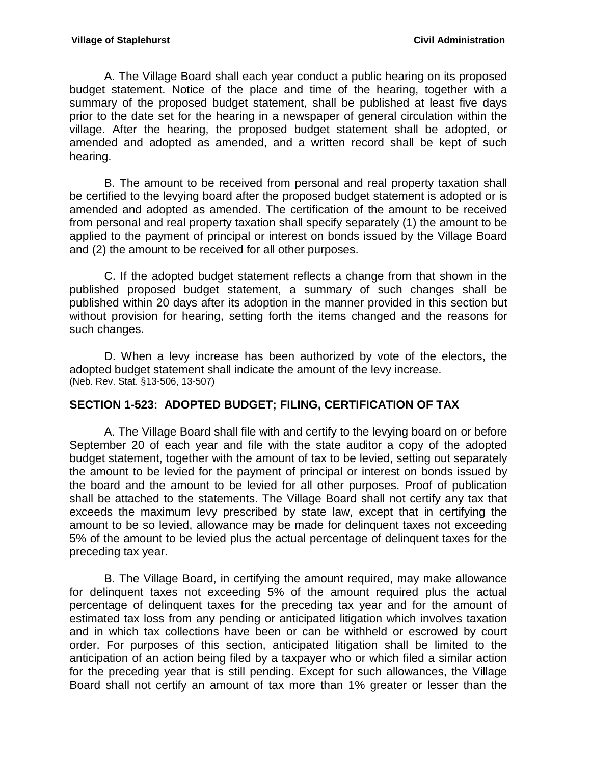A. The Village Board shall each year conduct a public hearing on its proposed budget statement. Notice of the place and time of the hearing, together with a summary of the proposed budget statement, shall be published at least five days prior to the date set for the hearing in a newspaper of general circulation within the village. After the hearing, the proposed budget statement shall be adopted, or amended and adopted as amended, and a written record shall be kept of such hearing.

B. The amount to be received from personal and real property taxation shall be certified to the levying board after the proposed budget statement is adopted or is amended and adopted as amended. The certification of the amount to be received from personal and real property taxation shall specify separately (1) the amount to be applied to the payment of principal or interest on bonds issued by the Village Board and (2) the amount to be received for all other purposes.

C. If the adopted budget statement reflects a change from that shown in the published proposed budget statement, a summary of such changes shall be published within 20 days after its adoption in the manner provided in this section but without provision for hearing, setting forth the items changed and the reasons for such changes.

D. When a levy increase has been authorized by vote of the electors, the adopted budget statement shall indicate the amount of the levy increase. (Neb. Rev. Stat. §13-506, 13-507)

### <span id="page-41-0"></span>**SECTION 1-523: ADOPTED BUDGET; FILING, CERTIFICATION OF TAX**

A. The Village Board shall file with and certify to the levying board on or before September 20 of each year and file with the state auditor a copy of the adopted budget statement, together with the amount of tax to be levied, setting out separately the amount to be levied for the payment of principal or interest on bonds issued by the board and the amount to be levied for all other purposes. Proof of publication shall be attached to the statements. The Village Board shall not certify any tax that exceeds the maximum levy prescribed by state law, except that in certifying the amount to be so levied, allowance may be made for delinquent taxes not exceeding 5% of the amount to be levied plus the actual percentage of delinquent taxes for the preceding tax year.

B. The Village Board, in certifying the amount required, may make allowance for delinquent taxes not exceeding 5% of the amount required plus the actual percentage of delinquent taxes for the preceding tax year and for the amount of estimated tax loss from any pending or anticipated litigation which involves taxation and in which tax collections have been or can be withheld or escrowed by court order. For purposes of this section, anticipated litigation shall be limited to the anticipation of an action being filed by a taxpayer who or which filed a similar action for the preceding year that is still pending. Except for such allowances, the Village Board shall not certify an amount of tax more than 1% greater or lesser than the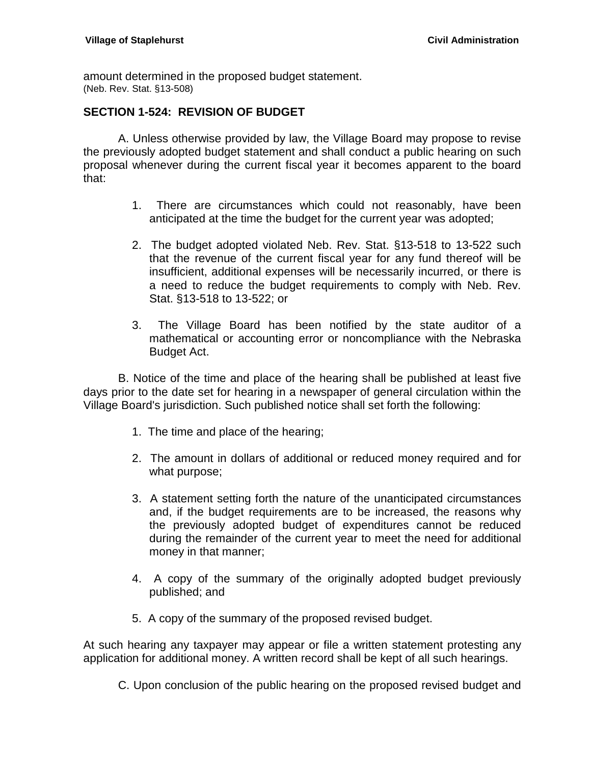amount determined in the proposed budget statement. (Neb. Rev. Stat. §13-508)

#### <span id="page-42-0"></span>**SECTION 1-524: REVISION OF BUDGET**

A. Unless otherwise provided by law, the Village Board may propose to revise the previously adopted budget statement and shall conduct a public hearing on such proposal whenever during the current fiscal year it becomes apparent to the board that:

- 1. There are circumstances which could not reasonably, have been anticipated at the time the budget for the current year was adopted;
- 2. The budget adopted violated Neb. Rev. Stat. §13-518 to 13-522 such that the revenue of the current fiscal year for any fund thereof will be insufficient, additional expenses will be necessarily incurred, or there is a need to reduce the budget requirements to comply with Neb. Rev. Stat. §13-518 to 13-522; or
- 3. The Village Board has been notified by the state auditor of a mathematical or accounting error or noncompliance with the Nebraska Budget Act.

B. Notice of the time and place of the hearing shall be published at least five days prior to the date set for hearing in a newspaper of general circulation within the Village Board's jurisdiction. Such published notice shall set forth the following:

- 1. The time and place of the hearing;
- 2. The amount in dollars of additional or reduced money required and for what purpose;
- 3. A statement setting forth the nature of the unanticipated circumstances and, if the budget requirements are to be increased, the reasons why the previously adopted budget of expenditures cannot be reduced during the remainder of the current year to meet the need for additional money in that manner;
- 4. A copy of the summary of the originally adopted budget previously published; and
- 5. A copy of the summary of the proposed revised budget.

At such hearing any taxpayer may appear or file a written statement protesting any application for additional money. A written record shall be kept of all such hearings.

C. Upon conclusion of the public hearing on the proposed revised budget and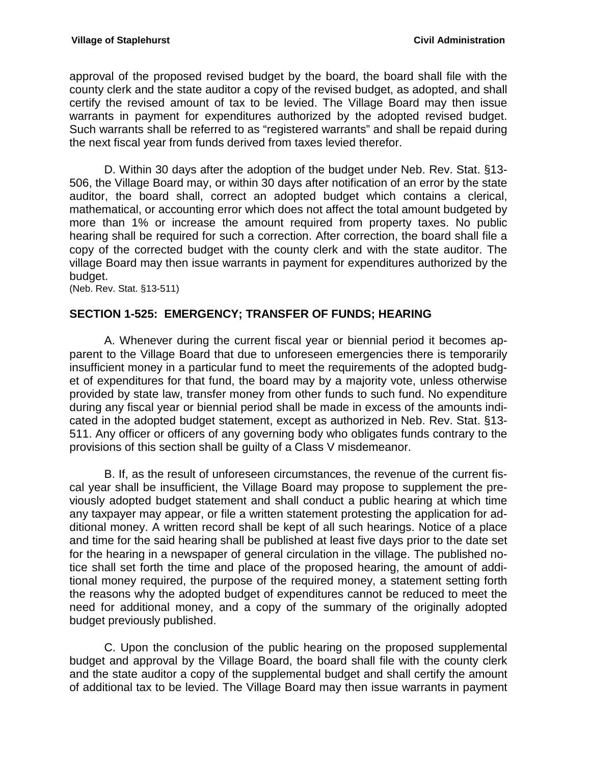approval of the proposed revised budget by the board, the board shall file with the county clerk and the state auditor a copy of the revised budget, as adopted, and shall certify the revised amount of tax to be levied. The Village Board may then issue warrants in payment for expenditures authorized by the adopted revised budget. Such warrants shall be referred to as "registered warrants" and shall be repaid during the next fiscal year from funds derived from taxes levied therefor.

D. Within 30 days after the adoption of the budget under Neb. Rev. Stat. §13- 506, the Village Board may, or within 30 days after notification of an error by the state auditor, the board shall, correct an adopted budget which contains a clerical, mathematical, or accounting error which does not affect the total amount budgeted by more than 1% or increase the amount required from property taxes. No public hearing shall be required for such a correction. After correction, the board shall file a copy of the corrected budget with the county clerk and with the state auditor. The village Board may then issue warrants in payment for expenditures authorized by the budget.

(Neb. Rev. Stat. §13-511)

### <span id="page-43-0"></span>**SECTION 1-525: EMERGENCY; TRANSFER OF FUNDS; HEARING**

A. Whenever during the current fiscal year or biennial period it becomes apparent to the Village Board that due to unforeseen emergencies there is temporarily insufficient money in a particular fund to meet the requirements of the adopted budget of expenditures for that fund, the board may by a majority vote, unless otherwise provided by state law, transfer money from other funds to such fund. No expenditure during any fiscal year or biennial period shall be made in excess of the amounts indicated in the adopted budget statement, except as authorized in Neb. Rev. Stat. §13- 511. Any officer or officers of any governing body who obligates funds contrary to the provisions of this section shall be guilty of a Class V misdemeanor.

B. If, as the result of unforeseen circumstances, the revenue of the current fiscal year shall be insufficient, the Village Board may propose to supplement the previously adopted budget statement and shall conduct a public hearing at which time any taxpayer may appear, or file a written statement protesting the application for additional money. A written record shall be kept of all such hearings. Notice of a place and time for the said hearing shall be published at least five days prior to the date set for the hearing in a newspaper of general circulation in the village. The published notice shall set forth the time and place of the proposed hearing, the amount of additional money required, the purpose of the required money, a statement setting forth the reasons why the adopted budget of expenditures cannot be reduced to meet the need for additional money, and a copy of the summary of the originally adopted budget previously published.

C. Upon the conclusion of the public hearing on the proposed supplemental budget and approval by the Village Board, the board shall file with the county clerk and the state auditor a copy of the supplemental budget and shall certify the amount of additional tax to be levied. The Village Board may then issue warrants in payment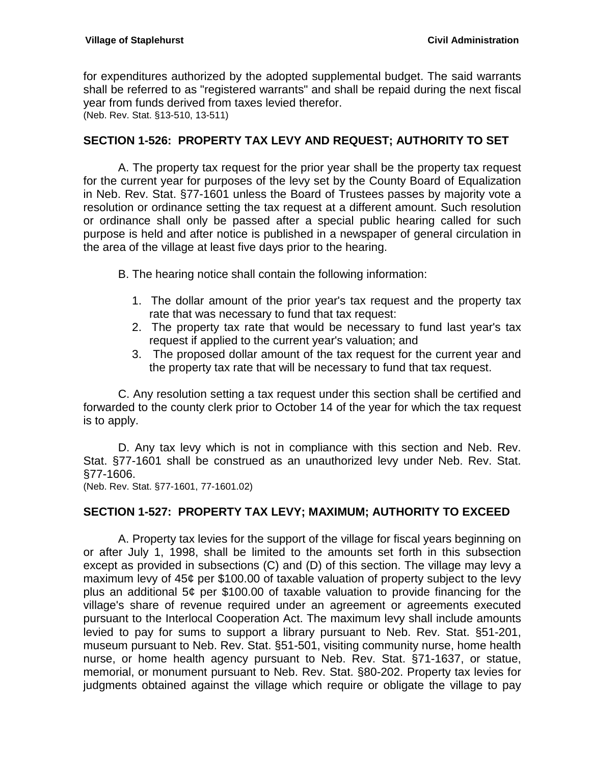for expenditures authorized by the adopted supplemental budget. The said warrants shall be referred to as "registered warrants" and shall be repaid during the next fiscal year from funds derived from taxes levied therefor. (Neb. Rev. Stat. §13-510, 13-511)

#### <span id="page-44-0"></span>**SECTION 1-526: PROPERTY TAX LEVY AND REQUEST; AUTHORITY TO SET**

A. The property tax request for the prior year shall be the property tax request for the current year for purposes of the levy set by the County Board of Equalization in Neb. Rev. Stat. §77-1601 unless the Board of Trustees passes by majority vote a resolution or ordinance setting the tax request at a different amount. Such resolution or ordinance shall only be passed after a special public hearing called for such purpose is held and after notice is published in a newspaper of general circulation in the area of the village at least five days prior to the hearing.

B. The hearing notice shall contain the following information:

- 1. The dollar amount of the prior year's tax request and the property tax rate that was necessary to fund that tax request:
- 2. The property tax rate that would be necessary to fund last year's tax request if applied to the current year's valuation; and
- 3. The proposed dollar amount of the tax request for the current year and the property tax rate that will be necessary to fund that tax request.

C. Any resolution setting a tax request under this section shall be certified and forwarded to the county clerk prior to October 14 of the year for which the tax request is to apply.

D. Any tax levy which is not in compliance with this section and Neb. Rev. Stat. §77-1601 shall be construed as an unauthorized levy under Neb. Rev. Stat. §77-1606.

(Neb. Rev. Stat. §77-1601, 77-1601.02)

### <span id="page-44-1"></span>**SECTION 1-527: PROPERTY TAX LEVY; MAXIMUM; AUTHORITY TO EXCEED**

A. Property tax levies for the support of the village for fiscal years beginning on or after July 1, 1998, shall be limited to the amounts set forth in this subsection except as provided in subsections (C) and (D) of this section. The village may levy a maximum levy of 45¢ per \$100.00 of taxable valuation of property subject to the levy plus an additional 5¢ per \$100.00 of taxable valuation to provide financing for the village's share of revenue required under an agreement or agreements executed pursuant to the Interlocal Cooperation Act. The maximum levy shall include amounts levied to pay for sums to support a library pursuant to Neb. Rev. Stat. §51-201, museum pursuant to Neb. Rev. Stat. §51-501, visiting community nurse, home health nurse, or home health agency pursuant to Neb. Rev. Stat. §71-1637, or statue, memorial, or monument pursuant to Neb. Rev. Stat. §80-202. Property tax levies for judgments obtained against the village which require or obligate the village to pay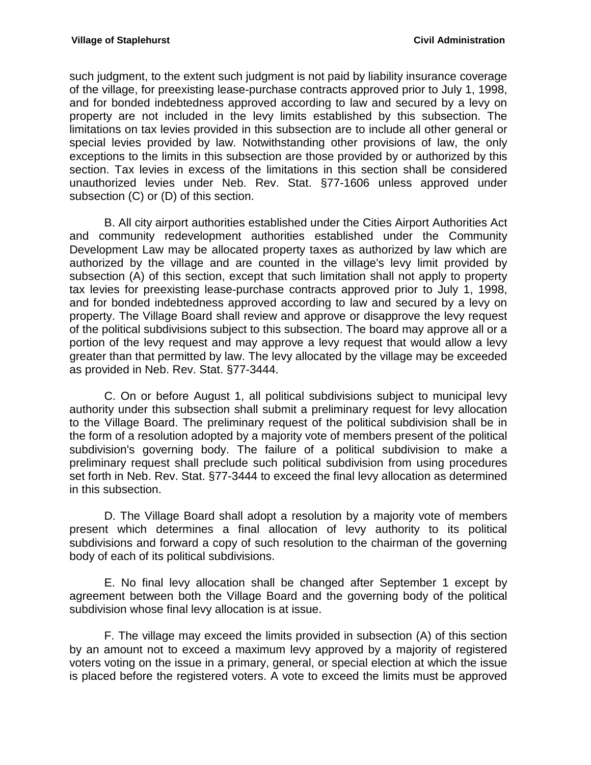such judgment, to the extent such judgment is not paid by liability insurance coverage of the village, for preexisting lease-purchase contracts approved prior to July 1, 1998, and for bonded indebtedness approved according to law and secured by a levy on property are not included in the levy limits established by this subsection. The limitations on tax levies provided in this subsection are to include all other general or special levies provided by law. Notwithstanding other provisions of law, the only exceptions to the limits in this subsection are those provided by or authorized by this section. Tax levies in excess of the limitations in this section shall be considered unauthorized levies under Neb. Rev. Stat. §77-1606 unless approved under subsection (C) or (D) of this section.

B. All city airport authorities established under the Cities Airport Authorities Act and community redevelopment authorities established under the Community Development Law may be allocated property taxes as authorized by law which are authorized by the village and are counted in the village's levy limit provided by subsection (A) of this section, except that such limitation shall not apply to property tax levies for preexisting lease-purchase contracts approved prior to July 1, 1998, and for bonded indebtedness approved according to law and secured by a levy on property. The Village Board shall review and approve or disapprove the levy request of the political subdivisions subject to this subsection. The board may approve all or a portion of the levy request and may approve a levy request that would allow a levy greater than that permitted by law. The levy allocated by the village may be exceeded as provided in Neb. Rev. Stat. §77-3444.

C. On or before August 1, all political subdivisions subject to municipal levy authority under this subsection shall submit a preliminary request for levy allocation to the Village Board. The preliminary request of the political subdivision shall be in the form of a resolution adopted by a majority vote of members present of the political subdivision's governing body. The failure of a political subdivision to make a preliminary request shall preclude such political subdivision from using procedures set forth in Neb. Rev. Stat. §77-3444 to exceed the final levy allocation as determined in this subsection.

D. The Village Board shall adopt a resolution by a majority vote of members present which determines a final allocation of levy authority to its political subdivisions and forward a copy of such resolution to the chairman of the governing body of each of its political subdivisions.

E. No final levy allocation shall be changed after September 1 except by agreement between both the Village Board and the governing body of the political subdivision whose final levy allocation is at issue.

F. The village may exceed the limits provided in subsection (A) of this section by an amount not to exceed a maximum levy approved by a majority of registered voters voting on the issue in a primary, general, or special election at which the issue is placed before the registered voters. A vote to exceed the limits must be approved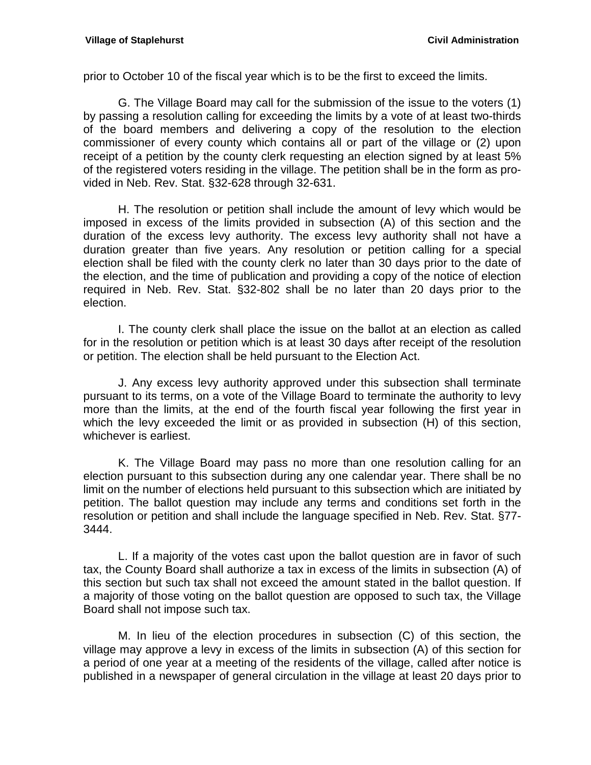prior to October 10 of the fiscal year which is to be the first to exceed the limits.

G. The Village Board may call for the submission of the issue to the voters (1) by passing a resolution calling for exceeding the limits by a vote of at least two-thirds of the board members and delivering a copy of the resolution to the election commissioner of every county which contains all or part of the village or (2) upon receipt of a petition by the county clerk requesting an election signed by at least 5% of the registered voters residing in the village. The petition shall be in the form as provided in Neb. Rev. Stat. §32-628 through 32-631.

H. The resolution or petition shall include the amount of levy which would be imposed in excess of the limits provided in subsection (A) of this section and the duration of the excess levy authority. The excess levy authority shall not have a duration greater than five years. Any resolution or petition calling for a special election shall be filed with the county clerk no later than 30 days prior to the date of the election, and the time of publication and providing a copy of the notice of election required in Neb. Rev. Stat. §32-802 shall be no later than 20 days prior to the election.

I. The county clerk shall place the issue on the ballot at an election as called for in the resolution or petition which is at least 30 days after receipt of the resolution or petition. The election shall be held pursuant to the Election Act.

J. Any excess levy authority approved under this subsection shall terminate pursuant to its terms, on a vote of the Village Board to terminate the authority to levy more than the limits, at the end of the fourth fiscal year following the first year in which the levy exceeded the limit or as provided in subsection (H) of this section, whichever is earliest.

K. The Village Board may pass no more than one resolution calling for an election pursuant to this subsection during any one calendar year. There shall be no limit on the number of elections held pursuant to this subsection which are initiated by petition. The ballot question may include any terms and conditions set forth in the resolution or petition and shall include the language specified in Neb. Rev. Stat. §77- 3444.

L. If a majority of the votes cast upon the ballot question are in favor of such tax, the County Board shall authorize a tax in excess of the limits in subsection (A) of this section but such tax shall not exceed the amount stated in the ballot question. If a majority of those voting on the ballot question are opposed to such tax, the Village Board shall not impose such tax.

M. In lieu of the election procedures in subsection (C) of this section, the village may approve a levy in excess of the limits in subsection (A) of this section for a period of one year at a meeting of the residents of the village, called after notice is published in a newspaper of general circulation in the village at least 20 days prior to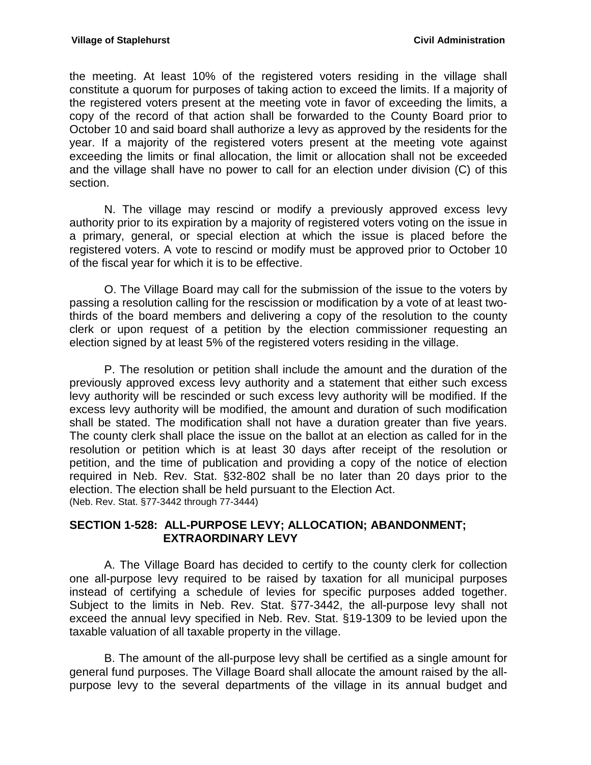the meeting. At least 10% of the registered voters residing in the village shall constitute a quorum for purposes of taking action to exceed the limits. If a majority of the registered voters present at the meeting vote in favor of exceeding the limits, a copy of the record of that action shall be forwarded to the County Board prior to October 10 and said board shall authorize a levy as approved by the residents for the year. If a majority of the registered voters present at the meeting vote against exceeding the limits or final allocation, the limit or allocation shall not be exceeded and the village shall have no power to call for an election under division (C) of this section.

N. The village may rescind or modify a previously approved excess levy authority prior to its expiration by a majority of registered voters voting on the issue in a primary, general, or special election at which the issue is placed before the registered voters. A vote to rescind or modify must be approved prior to October 10 of the fiscal year for which it is to be effective.

O. The Village Board may call for the submission of the issue to the voters by passing a resolution calling for the rescission or modification by a vote of at least twothirds of the board members and delivering a copy of the resolution to the county clerk or upon request of a petition by the election commissioner requesting an election signed by at least 5% of the registered voters residing in the village.

P. The resolution or petition shall include the amount and the duration of the previously approved excess levy authority and a statement that either such excess levy authority will be rescinded or such excess levy authority will be modified. If the excess levy authority will be modified, the amount and duration of such modification shall be stated. The modification shall not have a duration greater than five years. The county clerk shall place the issue on the ballot at an election as called for in the resolution or petition which is at least 30 days after receipt of the resolution or petition, and the time of publication and providing a copy of the notice of election required in Neb. Rev. Stat. §32-802 shall be no later than 20 days prior to the election. The election shall be held pursuant to the Election Act. (Neb. Rev. Stat. §77-3442 through 77-3444)

#### <span id="page-47-0"></span>**SECTION 1-528: ALL-PURPOSE LEVY; ALLOCATION; ABANDONMENT; EXTRAORDINARY LEVY**

A. The Village Board has decided to certify to the county clerk for collection one all-purpose levy required to be raised by taxation for all municipal purposes instead of certifying a schedule of levies for specific purposes added together. Subject to the limits in Neb. Rev. Stat. §77-3442, the all-purpose levy shall not exceed the annual levy specified in Neb. Rev. Stat. §19-1309 to be levied upon the taxable valuation of all taxable property in the village.

B. The amount of the all-purpose levy shall be certified as a single amount for general fund purposes. The Village Board shall allocate the amount raised by the allpurpose levy to the several departments of the village in its annual budget and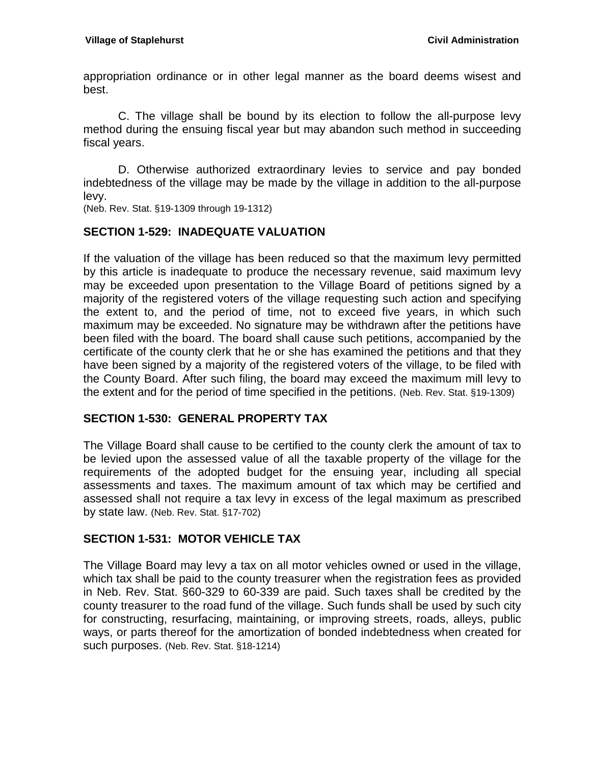appropriation ordinance or in other legal manner as the board deems wisest and best.

C. The village shall be bound by its election to follow the all-purpose levy method during the ensuing fiscal year but may abandon such method in succeeding fiscal years.

D. Otherwise authorized extraordinary levies to service and pay bonded indebtedness of the village may be made by the village in addition to the all-purpose levy.

(Neb. Rev. Stat. §19-1309 through 19-1312)

#### <span id="page-48-0"></span>**SECTION 1-529: INADEQUATE VALUATION**

If the valuation of the village has been reduced so that the maximum levy permitted by this article is inadequate to produce the necessary revenue, said maximum levy may be exceeded upon presentation to the Village Board of petitions signed by a majority of the registered voters of the village requesting such action and specifying the extent to, and the period of time, not to exceed five years, in which such maximum may be exceeded. No signature may be withdrawn after the petitions have been filed with the board. The board shall cause such petitions, accompanied by the certificate of the county clerk that he or she has examined the petitions and that they have been signed by a majority of the registered voters of the village, to be filed with the County Board. After such filing, the board may exceed the maximum mill levy to the extent and for the period of time specified in the petitions. (Neb. Rev. Stat. §19-1309)

### <span id="page-48-1"></span>**SECTION 1-530: GENERAL PROPERTY TAX**

The Village Board shall cause to be certified to the county clerk the amount of tax to be levied upon the assessed value of all the taxable property of the village for the requirements of the adopted budget for the ensuing year, including all special assessments and taxes. The maximum amount of tax which may be certified and assessed shall not require a tax levy in excess of the legal maximum as prescribed by state law. (Neb. Rev. Stat. §17-702)

### <span id="page-48-2"></span>**SECTION 1-531: MOTOR VEHICLE TAX**

The Village Board may levy a tax on all motor vehicles owned or used in the village, which tax shall be paid to the county treasurer when the registration fees as provided in Neb. Rev. Stat. §60-329 to 60-339 are paid. Such taxes shall be credited by the county treasurer to the road fund of the village. Such funds shall be used by such city for constructing, resurfacing, maintaining, or improving streets, roads, alleys, public ways, or parts thereof for the amortization of bonded indebtedness when created for such purposes. (Neb. Rev. Stat. §18-1214)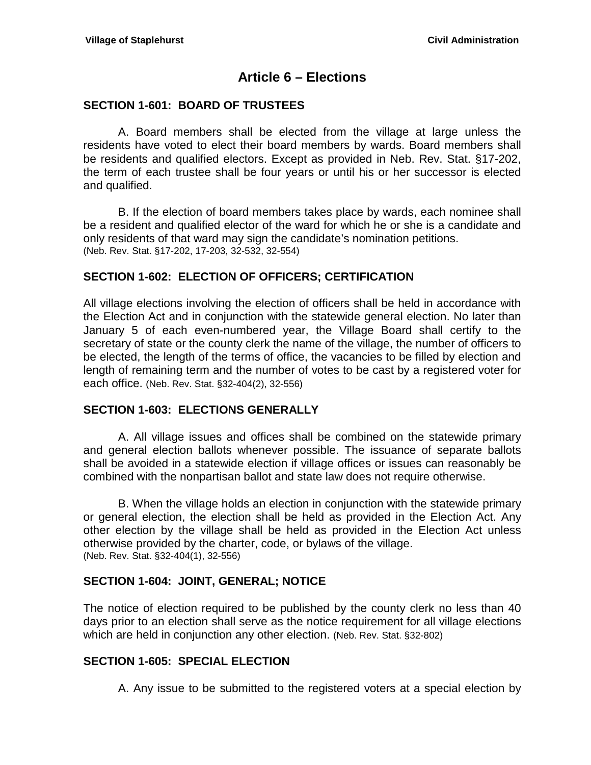## **Article 6 – Elections**

#### <span id="page-50-1"></span><span id="page-50-0"></span>**SECTION 1-601: BOARD OF TRUSTEES**

A. Board members shall be elected from the village at large unless the residents have voted to elect their board members by wards. Board members shall be residents and qualified electors. Except as provided in Neb. Rev. Stat. §17-202, the term of each trustee shall be four years or until his or her successor is elected and qualified.

B. If the election of board members takes place by wards, each nominee shall be a resident and qualified elector of the ward for which he or she is a candidate and only residents of that ward may sign the candidate's nomination petitions. (Neb. Rev. Stat. §17-202, 17-203, 32-532, 32-554)

### <span id="page-50-2"></span>**SECTION 1-602: ELECTION OF OFFICERS; CERTIFICATION**

All village elections involving the election of officers shall be held in accordance with the Election Act and in conjunction with the statewide general election. No later than January 5 of each even-numbered year, the Village Board shall certify to the secretary of state or the county clerk the name of the village, the number of officers to be elected, the length of the terms of office, the vacancies to be filled by election and length of remaining term and the number of votes to be cast by a registered voter for each office. (Neb. Rev. Stat. §32-404(2), 32-556)

#### <span id="page-50-3"></span>**SECTION 1-603: ELECTIONS GENERALLY**

A. All village issues and offices shall be combined on the statewide primary and general election ballots whenever possible. The issuance of separate ballots shall be avoided in a statewide election if village offices or issues can reasonably be combined with the nonpartisan ballot and state law does not require otherwise.

B. When the village holds an election in conjunction with the statewide primary or general election, the election shall be held as provided in the Election Act. Any other election by the village shall be held as provided in the Election Act unless otherwise provided by the charter, code, or bylaws of the village. (Neb. Rev. Stat. §32-404(1), 32-556)

### <span id="page-50-4"></span>**SECTION 1-604: JOINT, GENERAL; NOTICE**

The notice of election required to be published by the county clerk no less than 40 days prior to an election shall serve as the notice requirement for all village elections which are held in conjunction any other election. (Neb. Rev. Stat. §32-802)

#### <span id="page-50-5"></span>**SECTION 1-605: SPECIAL ELECTION**

A. Any issue to be submitted to the registered voters at a special election by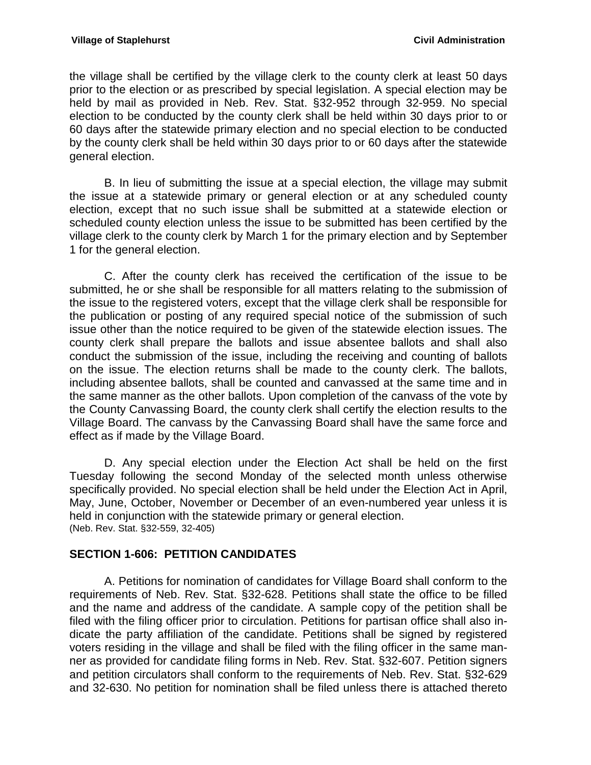the village shall be certified by the village clerk to the county clerk at least 50 days prior to the election or as prescribed by special legislation. A special election may be held by mail as provided in Neb. Rev. Stat. §32-952 through 32-959. No special election to be conducted by the county clerk shall be held within 30 days prior to or 60 days after the statewide primary election and no special election to be conducted by the county clerk shall be held within 30 days prior to or 60 days after the statewide general election.

B. In lieu of submitting the issue at a special election, the village may submit the issue at a statewide primary or general election or at any scheduled county election, except that no such issue shall be submitted at a statewide election or scheduled county election unless the issue to be submitted has been certified by the village clerk to the county clerk by March 1 for the primary election and by September 1 for the general election.

C. After the county clerk has received the certification of the issue to be submitted, he or she shall be responsible for all matters relating to the submission of the issue to the registered voters, except that the village clerk shall be responsible for the publication or posting of any required special notice of the submission of such issue other than the notice required to be given of the statewide election issues. The county clerk shall prepare the ballots and issue absentee ballots and shall also conduct the submission of the issue, including the receiving and counting of ballots on the issue. The election returns shall be made to the county clerk. The ballots, including absentee ballots, shall be counted and canvassed at the same time and in the same manner as the other ballots. Upon completion of the canvass of the vote by the County Canvassing Board, the county clerk shall certify the election results to the Village Board. The canvass by the Canvassing Board shall have the same force and effect as if made by the Village Board.

D. Any special election under the Election Act shall be held on the first Tuesday following the second Monday of the selected month unless otherwise specifically provided. No special election shall be held under the Election Act in April, May, June, October, November or December of an even-numbered year unless it is held in conjunction with the statewide primary or general election. (Neb. Rev. Stat. §32-559, 32-405)

### <span id="page-51-0"></span>**SECTION 1-606: PETITION CANDIDATES**

A. Petitions for nomination of candidates for Village Board shall conform to the requirements of Neb. Rev. Stat. §32-628. Petitions shall state the office to be filled and the name and address of the candidate. A sample copy of the petition shall be filed with the filing officer prior to circulation. Petitions for partisan office shall also indicate the party affiliation of the candidate. Petitions shall be signed by registered voters residing in the village and shall be filed with the filing officer in the same manner as provided for candidate filing forms in Neb. Rev. Stat. §32-607. Petition signers and petition circulators shall conform to the requirements of Neb. Rev. Stat. §32-629 and 32-630. No petition for nomination shall be filed unless there is attached thereto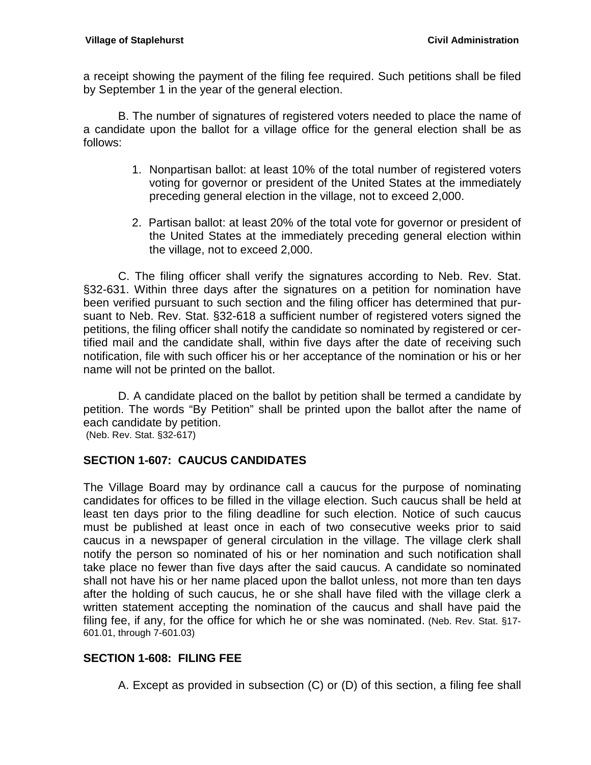a receipt showing the payment of the filing fee required. Such petitions shall be filed by September 1 in the year of the general election.

B. The number of signatures of registered voters needed to place the name of a candidate upon the ballot for a village office for the general election shall be as follows:

- 1. Nonpartisan ballot: at least 10% of the total number of registered voters voting for governor or president of the United States at the immediately preceding general election in the village, not to exceed 2,000.
- 2. Partisan ballot: at least 20% of the total vote for governor or president of the United States at the immediately preceding general election within the village, not to exceed 2,000.

C. The filing officer shall verify the signatures according to Neb. Rev. Stat. §32-631. Within three days after the signatures on a petition for nomination have been verified pursuant to such section and the filing officer has determined that pursuant to Neb. Rev. Stat. §32-618 a sufficient number of registered voters signed the petitions, the filing officer shall notify the candidate so nominated by registered or certified mail and the candidate shall, within five days after the date of receiving such notification, file with such officer his or her acceptance of the nomination or his or her name will not be printed on the ballot.

D. A candidate placed on the ballot by petition shall be termed a candidate by petition. The words "By Petition" shall be printed upon the ballot after the name of each candidate by petition.

(Neb. Rev. Stat. §32-617)

### <span id="page-52-0"></span>**SECTION 1-607: CAUCUS CANDIDATES**

The Village Board may by ordinance call a caucus for the purpose of nominating candidates for offices to be filled in the village election. Such caucus shall be held at least ten days prior to the filing deadline for such election. Notice of such caucus must be published at least once in each of two consecutive weeks prior to said caucus in a newspaper of general circulation in the village. The village clerk shall notify the person so nominated of his or her nomination and such notification shall take place no fewer than five days after the said caucus. A candidate so nominated shall not have his or her name placed upon the ballot unless, not more than ten days after the holding of such caucus, he or she shall have filed with the village clerk a written statement accepting the nomination of the caucus and shall have paid the filing fee, if any, for the office for which he or she was nominated. (Neb. Rev. Stat. §17- 601.01, through 7-601.03)

### <span id="page-52-1"></span>**SECTION 1-608: FILING FEE**

A. Except as provided in subsection (C) or (D) of this section, a filing fee shall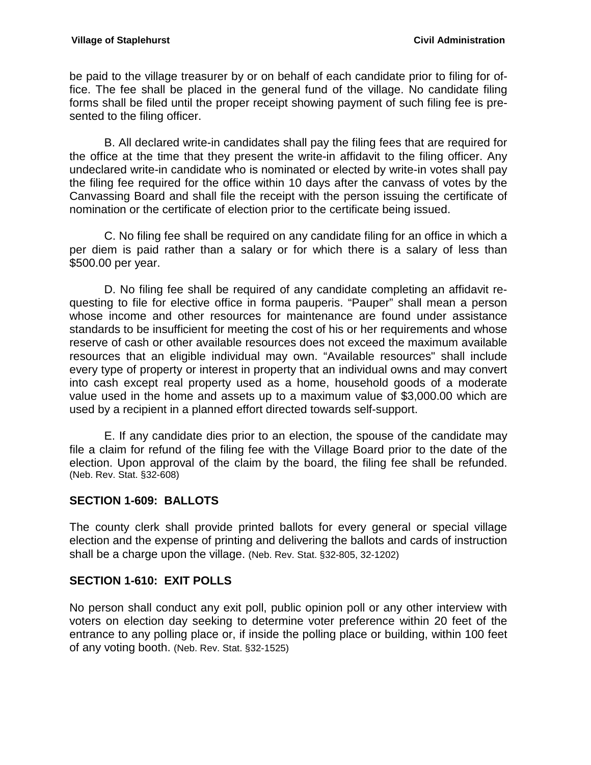be paid to the village treasurer by or on behalf of each candidate prior to filing for office. The fee shall be placed in the general fund of the village. No candidate filing forms shall be filed until the proper receipt showing payment of such filing fee is presented to the filing officer.

B. All declared write-in candidates shall pay the filing fees that are required for the office at the time that they present the write-in affidavit to the filing officer. Any undeclared write-in candidate who is nominated or elected by write-in votes shall pay the filing fee required for the office within 10 days after the canvass of votes by the Canvassing Board and shall file the receipt with the person issuing the certificate of nomination or the certificate of election prior to the certificate being issued.

C. No filing fee shall be required on any candidate filing for an office in which a per diem is paid rather than a salary or for which there is a salary of less than \$500.00 per year.

D. No filing fee shall be required of any candidate completing an affidavit requesting to file for elective office in forma pauperis. "Pauper" shall mean a person whose income and other resources for maintenance are found under assistance standards to be insufficient for meeting the cost of his or her requirements and whose reserve of cash or other available resources does not exceed the maximum available resources that an eligible individual may own. "Available resources" shall include every type of property or interest in property that an individual owns and may convert into cash except real property used as a home, household goods of a moderate value used in the home and assets up to a maximum value of \$3,000.00 which are used by a recipient in a planned effort directed towards self-support.

E. If any candidate dies prior to an election, the spouse of the candidate may file a claim for refund of the filing fee with the Village Board prior to the date of the election. Upon approval of the claim by the board, the filing fee shall be refunded. (Neb. Rev. Stat. §32-608)

### <span id="page-53-0"></span>**SECTION 1-609: BALLOTS**

The county clerk shall provide printed ballots for every general or special village election and the expense of printing and delivering the ballots and cards of instruction shall be a charge upon the village. (Neb. Rev. Stat. §32-805, 32-1202)

### <span id="page-53-1"></span>**SECTION 1-610: EXIT POLLS**

No person shall conduct any exit poll, public opinion poll or any other interview with voters on election day seeking to determine voter preference within 20 feet of the entrance to any polling place or, if inside the polling place or building, within 100 feet of any voting booth. (Neb. Rev. Stat. §32-1525)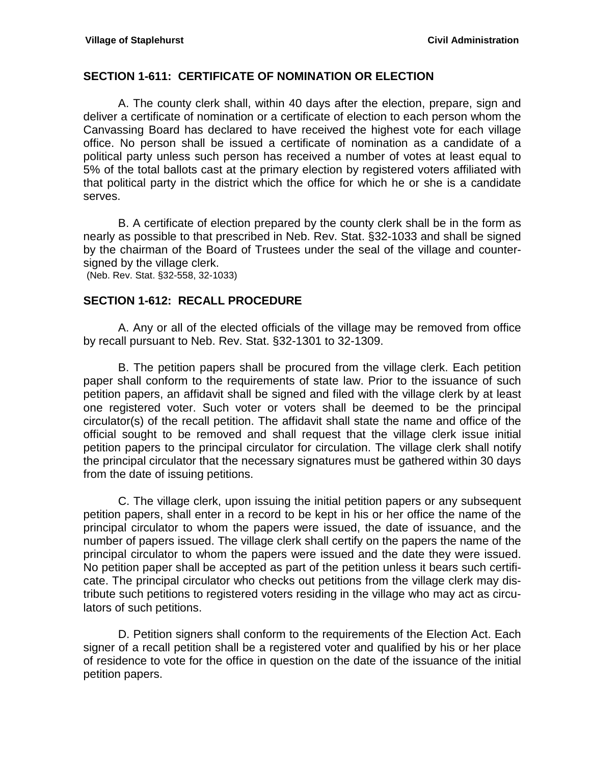#### <span id="page-54-0"></span>**SECTION 1-611: CERTIFICATE OF NOMINATION OR ELECTION**

A. The county clerk shall, within 40 days after the election, prepare, sign and deliver a certificate of nomination or a certificate of election to each person whom the Canvassing Board has declared to have received the highest vote for each village office. No person shall be issued a certificate of nomination as a candidate of a political party unless such person has received a number of votes at least equal to 5% of the total ballots cast at the primary election by registered voters affiliated with that political party in the district which the office for which he or she is a candidate serves.

B. A certificate of election prepared by the county clerk shall be in the form as nearly as possible to that prescribed in Neb. Rev. Stat. §32-1033 and shall be signed by the chairman of the Board of Trustees under the seal of the village and countersigned by the village clerk.

(Neb. Rev. Stat. §32-558, 32-1033)

### <span id="page-54-1"></span>**SECTION 1-612: RECALL PROCEDURE**

A. Any or all of the elected officials of the village may be removed from office by recall pursuant to Neb. Rev. Stat. §32-1301 to 32-1309.

B. The petition papers shall be procured from the village clerk. Each petition paper shall conform to the requirements of state law. Prior to the issuance of such petition papers, an affidavit shall be signed and filed with the village clerk by at least one registered voter. Such voter or voters shall be deemed to be the principal circulator(s) of the recall petition. The affidavit shall state the name and office of the official sought to be removed and shall request that the village clerk issue initial petition papers to the principal circulator for circulation. The village clerk shall notify the principal circulator that the necessary signatures must be gathered within 30 days from the date of issuing petitions.

C. The village clerk, upon issuing the initial petition papers or any subsequent petition papers, shall enter in a record to be kept in his or her office the name of the principal circulator to whom the papers were issued, the date of issuance, and the number of papers issued. The village clerk shall certify on the papers the name of the principal circulator to whom the papers were issued and the date they were issued. No petition paper shall be accepted as part of the petition unless it bears such certificate. The principal circulator who checks out petitions from the village clerk may distribute such petitions to registered voters residing in the village who may act as circulators of such petitions.

D. Petition signers shall conform to the requirements of the Election Act. Each signer of a recall petition shall be a registered voter and qualified by his or her place of residence to vote for the office in question on the date of the issuance of the initial petition papers.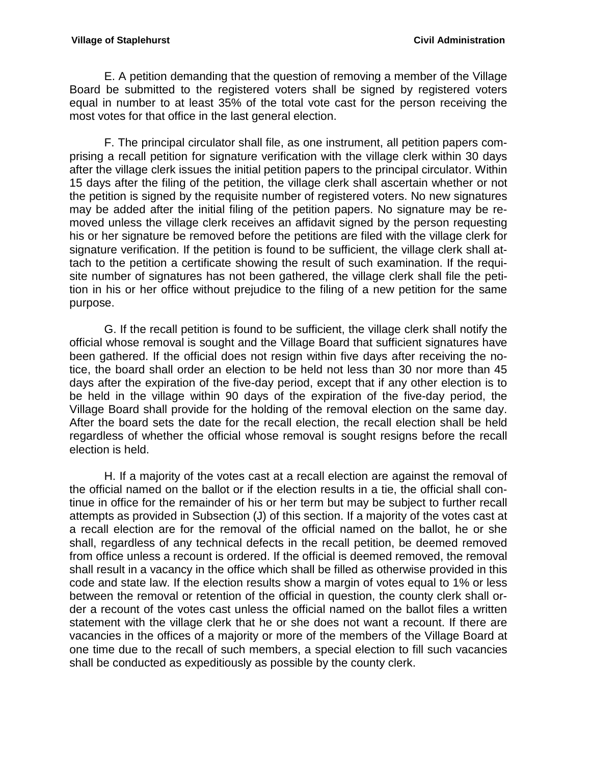E. A petition demanding that the question of removing a member of the Village Board be submitted to the registered voters shall be signed by registered voters equal in number to at least 35% of the total vote cast for the person receiving the most votes for that office in the last general election.

F. The principal circulator shall file, as one instrument, all petition papers comprising a recall petition for signature verification with the village clerk within 30 days after the village clerk issues the initial petition papers to the principal circulator. Within 15 days after the filing of the petition, the village clerk shall ascertain whether or not the petition is signed by the requisite number of registered voters. No new signatures may be added after the initial filing of the petition papers. No signature may be removed unless the village clerk receives an affidavit signed by the person requesting his or her signature be removed before the petitions are filed with the village clerk for signature verification. If the petition is found to be sufficient, the village clerk shall attach to the petition a certificate showing the result of such examination. If the requisite number of signatures has not been gathered, the village clerk shall file the petition in his or her office without prejudice to the filing of a new petition for the same purpose.

G. If the recall petition is found to be sufficient, the village clerk shall notify the official whose removal is sought and the Village Board that sufficient signatures have been gathered. If the official does not resign within five days after receiving the notice, the board shall order an election to be held not less than 30 nor more than 45 days after the expiration of the five-day period, except that if any other election is to be held in the village within 90 days of the expiration of the five-day period, the Village Board shall provide for the holding of the removal election on the same day. After the board sets the date for the recall election, the recall election shall be held regardless of whether the official whose removal is sought resigns before the recall election is held.

H. If a majority of the votes cast at a recall election are against the removal of the official named on the ballot or if the election results in a tie, the official shall continue in office for the remainder of his or her term but may be subject to further recall attempts as provided in Subsection (J) of this section. If a majority of the votes cast at a recall election are for the removal of the official named on the ballot, he or she shall, regardless of any technical defects in the recall petition, be deemed removed from office unless a recount is ordered. If the official is deemed removed, the removal shall result in a vacancy in the office which shall be filled as otherwise provided in this code and state law. If the election results show a margin of votes equal to 1% or less between the removal or retention of the official in question, the county clerk shall order a recount of the votes cast unless the official named on the ballot files a written statement with the village clerk that he or she does not want a recount. If there are vacancies in the offices of a majority or more of the members of the Village Board at one time due to the recall of such members, a special election to fill such vacancies shall be conducted as expeditiously as possible by the county clerk.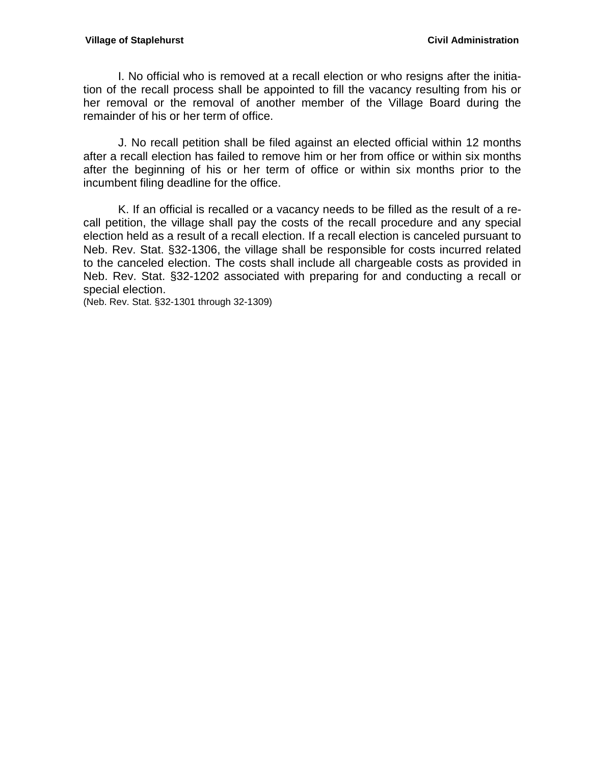#### **Village of Staplehurst Civil Administration**

I. No official who is removed at a recall election or who resigns after the initiation of the recall process shall be appointed to fill the vacancy resulting from his or her removal or the removal of another member of the Village Board during the remainder of his or her term of office.

J. No recall petition shall be filed against an elected official within 12 months after a recall election has failed to remove him or her from office or within six months after the beginning of his or her term of office or within six months prior to the incumbent filing deadline for the office.

K. If an official is recalled or a vacancy needs to be filled as the result of a recall petition, the village shall pay the costs of the recall procedure and any special election held as a result of a recall election. If a recall election is canceled pursuant to Neb. Rev. Stat. §32-1306, the village shall be responsible for costs incurred related to the canceled election. The costs shall include all chargeable costs as provided in Neb. Rev. Stat. §32-1202 associated with preparing for and conducting a recall or special election.

(Neb. Rev. Stat. §32-1301 through 32-1309)